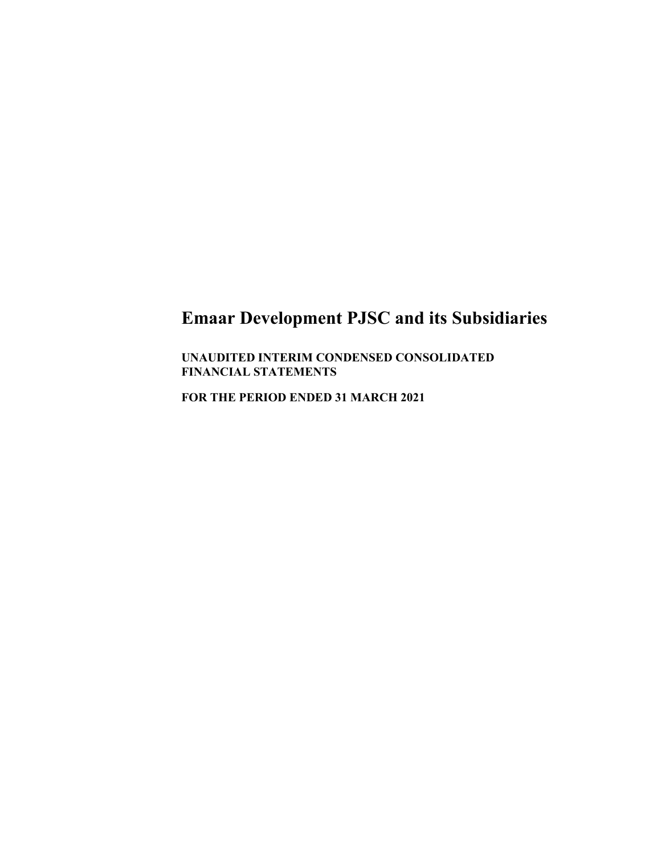**UNAUDITED INTERIM CONDENSED CONSOLIDATED FINANCIAL STATEMENTS** 

**FOR THE PERIOD ENDED 31 MARCH 2021**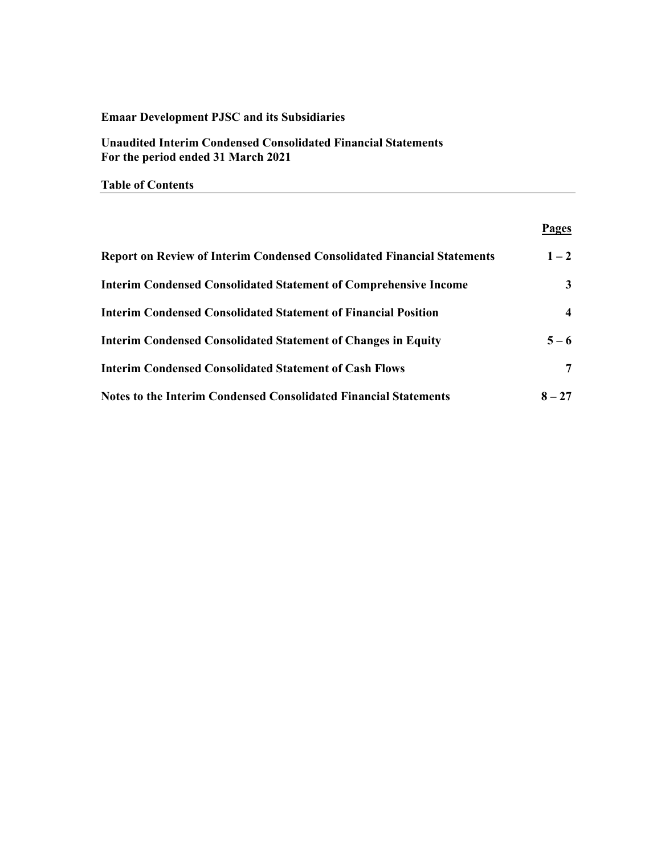**Unaudited Interim Condensed Consolidated Financial Statements For the period ended 31 March 2021** 

**Table of Contents** 

## **Pages**

| <b>Report on Review of Interim Condensed Consolidated Financial Statements</b> | $1 - 2$  |
|--------------------------------------------------------------------------------|----------|
| <b>Interim Condensed Consolidated Statement of Comprehensive Income</b>        | 3        |
| <b>Interim Condensed Consolidated Statement of Financial Position</b>          | 4        |
| <b>Interim Condensed Consolidated Statement of Changes in Equity</b>           | $5 - 6$  |
| <b>Interim Condensed Consolidated Statement of Cash Flows</b>                  | 7        |
| <b>Notes to the Interim Condensed Consolidated Financial Statements</b>        | $8 - 27$ |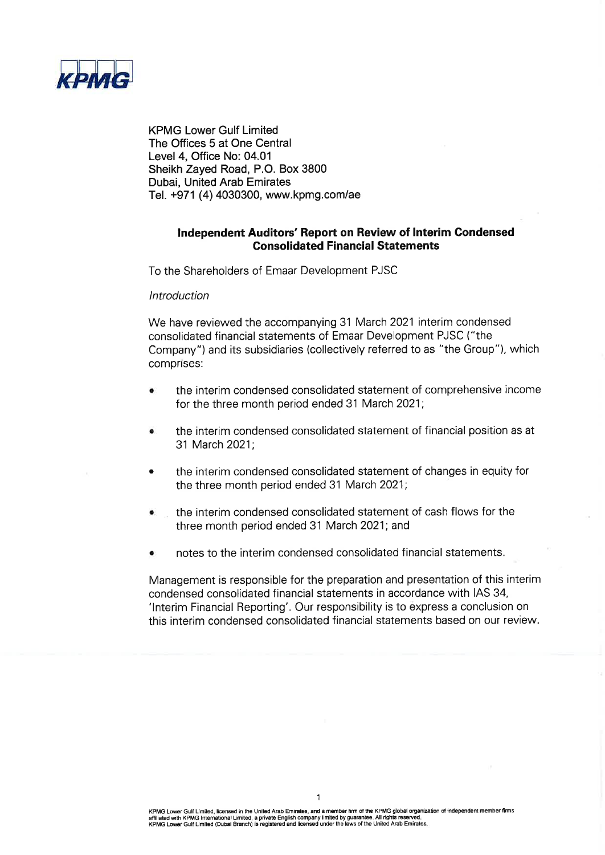

**KPMG Lower Gulf Limited** The Offices 5 at One Central Level 4, Office No: 04.01 Sheikh Zayed Road, P.O. Box 3800 **Dubai. United Arab Emirates** Tel. +971 (4) 4030300, www.kpmg.com/ae

# Independent Auditors' Report on Review of Interim Condensed **Consolidated Financial Statements**

To the Shareholders of Emaar Development PJSC

## Introduction

We have reviewed the accompanying 31 March 2021 interim condensed consolidated financial statements of Emaar Development PJSC ("the Company") and its subsidiaries (collectively referred to as "the Group"), which comprises:

- the interim condensed consolidated statement of comprehensive income for the three month period ended 31 March 2021;
- the interim condensed consolidated statement of financial position as at 31 March 2021;
- the interim condensed consolidated statement of changes in equity for the three month period ended 31 March 2021;
- the interim condensed consolidated statement of cash flows for the three month period ended 31 March 2021; and
- notes to the interim condensed consolidated financial statements.

Management is responsible for the preparation and presentation of this interim condensed consolidated financial statements in accordance with IAS 34, 'Interim Financial Reporting'. Our responsibility is to express a conclusion on this interim condensed consolidated financial statements based on our review.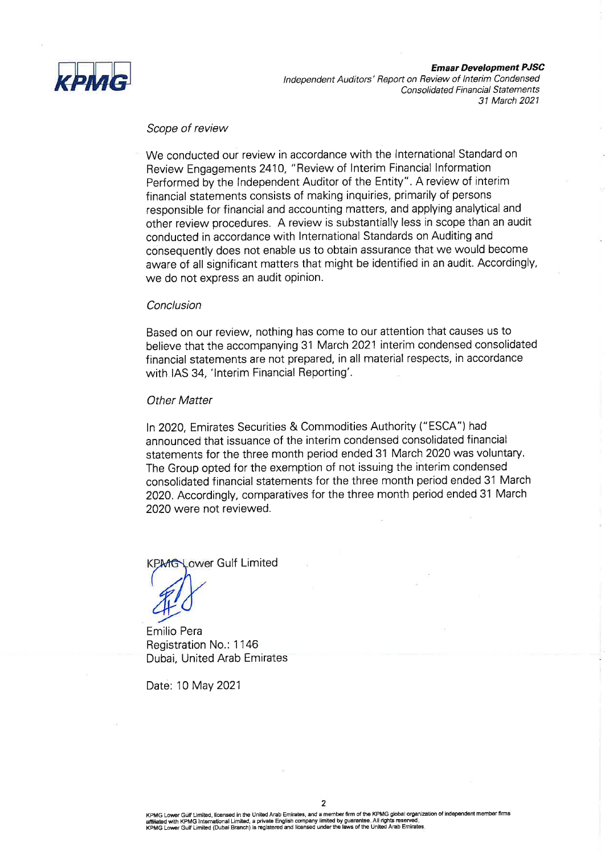

**Emaar Development PJSC** 

Independent Auditors' Report on Review of Interim Condensed **Consolidated Financial Statements** 31 March 2021

# Scope of review

We conducted our review in accordance with the International Standard on Review Engagements 2410, "Review of Interim Financial Information Performed by the Independent Auditor of the Entity". A review of interim financial statements consists of making inquiries, primarily of persons responsible for financial and accounting matters, and applying analytical and other review procedures. A review is substantially less in scope than an audit conducted in accordance with International Standards on Auditing and consequently does not enable us to obtain assurance that we would become aware of all significant matters that might be identified in an audit. Accordingly, we do not express an audit opinion.

#### Conclusion

Based on our review, nothing has come to our attention that causes us to believe that the accompanying 31 March 2021 interim condensed consolidated financial statements are not prepared, in all material respects, in accordance with IAS 34, 'Interim Financial Reporting'.

## **Other Matter**

In 2020, Emirates Securities & Commodities Authority ("ESCA") had announced that issuance of the interim condensed consolidated financial statements for the three month period ended 31 March 2020 was voluntary. The Group opted for the exemption of not issuing the interim condensed consolidated financial statements for the three month period ended 31 March 2020. Accordingly, comparatives for the three month period ended 31 March 2020 were not reviewed.

Lower Gulf Limited

Emilio Pera Registration No.: 1146 Dubai, United Arab Emirates

Date: 10 May 2021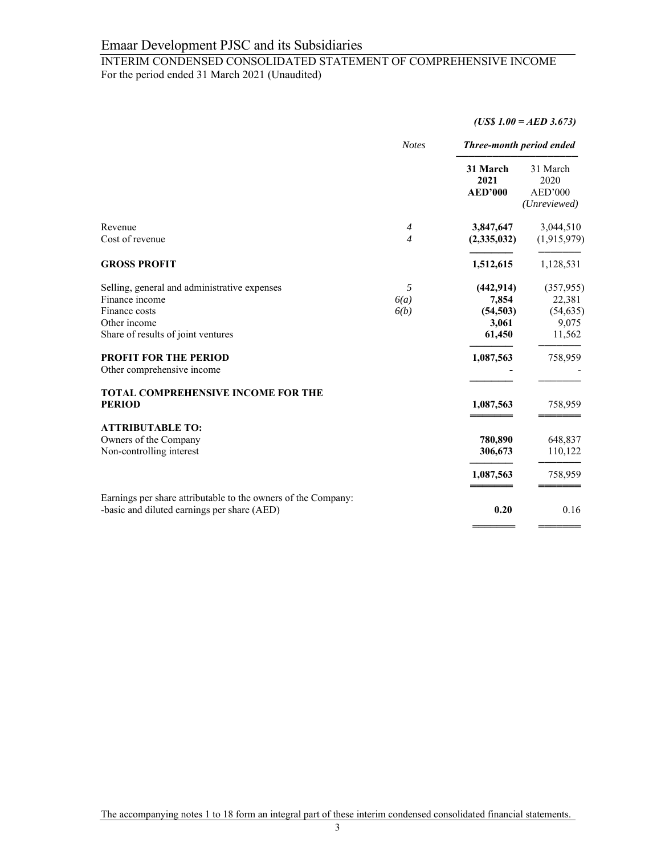# INTERIM CONDENSED CONSOLIDATED STATEMENT OF COMPREHENSIVE INCOME For the period ended 31 March 2021 (Unaudited)

## *(US\$ 1.00 = AED 3.673)*

|                                                                                                              | <b>Notes</b>   | Three-month period ended           |                                             |
|--------------------------------------------------------------------------------------------------------------|----------------|------------------------------------|---------------------------------------------|
|                                                                                                              |                | 31 March<br>2021<br><b>AED'000</b> | 31 March<br>2020<br>AED'000<br>(Unreviewed) |
| Revenue                                                                                                      | $\overline{4}$ | 3,847,647                          | 3,044,510                                   |
| Cost of revenue                                                                                              | $\overline{4}$ | (2,335,032)                        | (1,915,979)                                 |
| <b>GROSS PROFIT</b>                                                                                          |                | 1,512,615                          | 1,128,531                                   |
| Selling, general and administrative expenses                                                                 | 5              | (442, 914)                         | (357, 955)                                  |
| Finance income                                                                                               | 6(a)           | 7,854                              | 22,381                                      |
| Finance costs                                                                                                | 6(b)           | (54, 503)                          | (54, 635)                                   |
| Other income                                                                                                 |                | 3,061                              | 9,075                                       |
| Share of results of joint ventures                                                                           |                | 61,450                             | 11,562                                      |
| <b>PROFIT FOR THE PERIOD</b>                                                                                 |                | 1,087,563                          | 758,959                                     |
| Other comprehensive income                                                                                   |                |                                    |                                             |
| <b>TOTAL COMPREHENSIVE INCOME FOR THE</b>                                                                    |                |                                    |                                             |
| <b>PERIOD</b>                                                                                                |                | 1,087,563                          | 758,959                                     |
| <b>ATTRIBUTABLE TO:</b>                                                                                      |                |                                    |                                             |
| Owners of the Company                                                                                        |                | 780,890                            | 648,837                                     |
| Non-controlling interest                                                                                     |                | 306,673                            | 110,122                                     |
|                                                                                                              |                | 1,087,563                          | 758,959                                     |
| Earnings per share attributable to the owners of the Company:<br>-basic and diluted earnings per share (AED) |                | 0.20                               | 0.16                                        |
|                                                                                                              |                |                                    |                                             |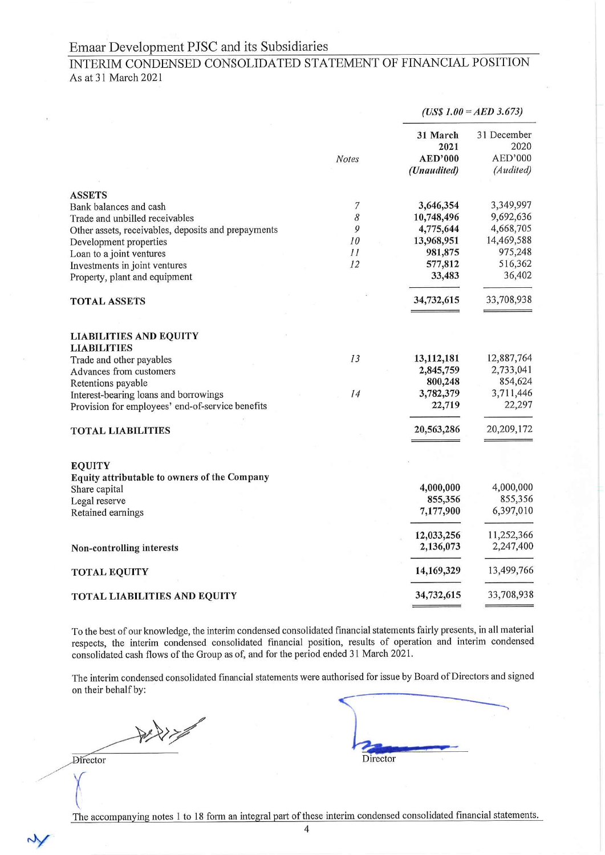# INTERIM CONDENSED CONSOLIDATED STATEMENT OF FINANCIAL POSITION As at 31 March 2021

|                                                                                                                                                                                                                                                          |                                              | $(US$ 1.00 = AED 3.673)$                                                           |                                                                                   |
|----------------------------------------------------------------------------------------------------------------------------------------------------------------------------------------------------------------------------------------------------------|----------------------------------------------|------------------------------------------------------------------------------------|-----------------------------------------------------------------------------------|
|                                                                                                                                                                                                                                                          | <b>Notes</b>                                 | 31 March<br>2021<br><b>AED'000</b><br>(Unaudited)                                  | 31 December<br>2020<br>AED'000<br>(Audited)                                       |
| <b>ASSETS</b><br>Bank balances and cash<br>Trade and unbilled receivables<br>Other assets, receivables, deposits and prepayments<br>Development properties<br>Loan to a joint ventures<br>Investments in joint ventures<br>Property, plant and equipment | $\boldsymbol{7}$<br>8<br>9<br>10<br>11<br>12 | 3,646,354<br>10,748,496<br>4,775,644<br>13,968,951<br>981,875<br>577,812<br>33,483 | 3,349,997<br>9,692,636<br>4,668,705<br>14,469,588<br>975,248<br>516,362<br>36,402 |
| <b>TOTAL ASSETS</b>                                                                                                                                                                                                                                      |                                              | 34,732,615                                                                         | 33,708,938                                                                        |
| <b>LIABILITIES AND EQUITY</b><br><b>LIABILITIES</b><br>Trade and other payables<br>Advances from customers<br>Retentions payable<br>Interest-bearing loans and borrowings<br>Provision for employees' end-of-service benefits                            | 13<br>14                                     | 13,112,181<br>2,845,759<br>800,248<br>3,782,379<br>22,719                          | 12,887,764<br>2,733,041<br>854,624<br>3,711,446<br>22,297                         |
| <b>TOTAL LIABILITIES</b>                                                                                                                                                                                                                                 |                                              | 20,563,286                                                                         | 20,209,172                                                                        |
| <b>EQUITY</b><br>Equity attributable to owners of the Company<br>Share capital<br>Legal reserve<br>Retained earnings                                                                                                                                     |                                              | 4,000,000<br>855,356<br>7,177,900<br>12,033,256<br>2,136,073                       | 4,000,000<br>855,356<br>6,397,010<br>11,252,366<br>2,247,400                      |
| Non-controlling interests                                                                                                                                                                                                                                |                                              |                                                                                    |                                                                                   |
| <b>TOTAL EQUITY</b>                                                                                                                                                                                                                                      |                                              | 14,169,329                                                                         | 13,499,766                                                                        |
| <b>TOTAL LIABILITIES AND EQUITY</b>                                                                                                                                                                                                                      |                                              | 34,732,615                                                                         | 33,708,938                                                                        |

To the best of our knowledge, the interim condensed consolidated financial statements fairly presents, in all material respects, the interim condensed consolidated financial position, results of operation and interim condensed consolidated cash flows of the Group as of, and for the period ended 31 March 2021.

The interim condensed consolidated financial statements were authorised for issue by Board of Directors and signed on their behalf by:

**Director** 

N

Director

The accompanying notes 1 to 18 form an integral part of these interim condensed consolidated financial statements.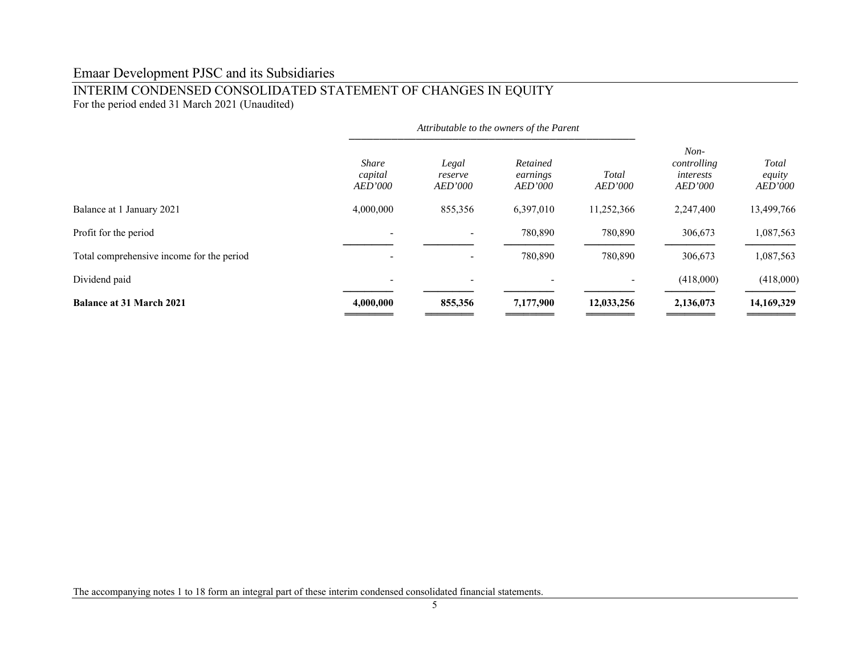# INTERIM CONDENSED CONSOLIDATED STATEMENT OF CHANGES IN EQUITY

For the period ended 31 March 2021 (Unaudited)

|                                           | Attributable to the owners of the Parent |                                    |                                        |                         |                                                      |                                   |
|-------------------------------------------|------------------------------------------|------------------------------------|----------------------------------------|-------------------------|------------------------------------------------------|-----------------------------------|
|                                           | <b>Share</b><br>capital<br>AED'000       | Legal<br>reserve<br><b>AED'000</b> | Retained<br>earnings<br><b>AED'000</b> | Total<br><b>AED'000</b> | $Non-$<br>controlling<br>interests<br><b>AED'000</b> | Total<br>equity<br><b>AED'000</b> |
| Balance at 1 January 2021                 | 4,000,000                                | 855,356                            | 6,397,010                              | 11,252,366              | 2,247,400                                            | 13,499,766                        |
| Profit for the period                     |                                          |                                    | 780,890                                | 780,890                 | 306,673                                              | 1,087,563                         |
| Total comprehensive income for the period |                                          |                                    | 780,890                                | 780,890                 | 306,673                                              | 1,087,563                         |
| Dividend paid                             | $\overline{\phantom{a}}$                 | $\overline{\phantom{a}}$           | $\overline{\phantom{a}}$               |                         | (418,000)                                            | (418,000)                         |
| <b>Balance at 31 March 2021</b>           | 4,000,000                                | 855,356                            | 7,177,900                              | 12,033,256              | 2,136,073                                            | 14,169,329                        |

The accompanying notes 1 to 18 form an integral part of these interim condensed consolidated financial statements.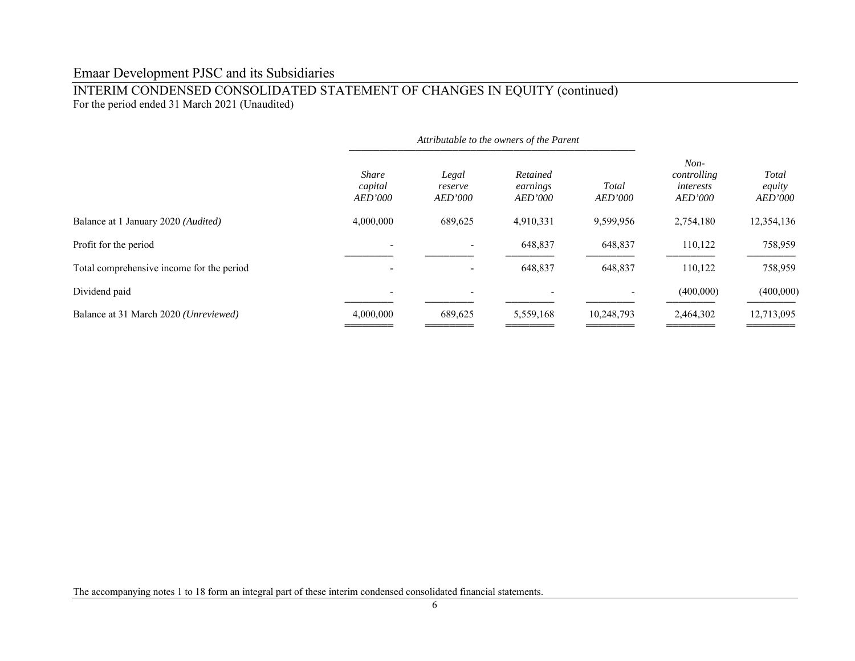# INTERIM CONDENSED CONSOLIDATED STATEMENT OF CHANGES IN EQUITY (continued) For the period ended 31 March 2021 (Unaudited)

|                                              | Attributable to the owners of the Parent  |                                    |                                        |                         |                                                      |                                   |
|----------------------------------------------|-------------------------------------------|------------------------------------|----------------------------------------|-------------------------|------------------------------------------------------|-----------------------------------|
|                                              | <b>Share</b><br>capital<br><b>AED'000</b> | Legal<br>reserve<br><b>AED'000</b> | Retained<br>earnings<br><b>AED'000</b> | Total<br><b>AED'000</b> | $Non-$<br>controlling<br>interests<br><b>AED'000</b> | Total<br>equity<br><b>AED'000</b> |
| Balance at 1 January 2020 ( <i>Audited</i> ) | 4,000,000                                 | 689,625                            | 4,910,331                              | 9,599,956               | 2,754,180                                            | 12,354,136                        |
| Profit for the period                        |                                           |                                    | 648,837                                | 648,837                 | 110,122                                              | 758,959                           |
| Total comprehensive income for the period    |                                           |                                    | 648,837                                | 648,837                 | 110,122                                              | 758,959                           |
| Dividend paid                                |                                           |                                    |                                        |                         | (400,000)                                            | (400,000)                         |
| Balance at 31 March 2020 (Unreviewed)        | 4,000,000                                 | 689,625                            | 5,559,168                              | 10,248,793              | 2,464,302                                            | 12,713,095                        |

The accompanying notes 1 to 18 form an integral part of these interim condensed consolidated financial statements.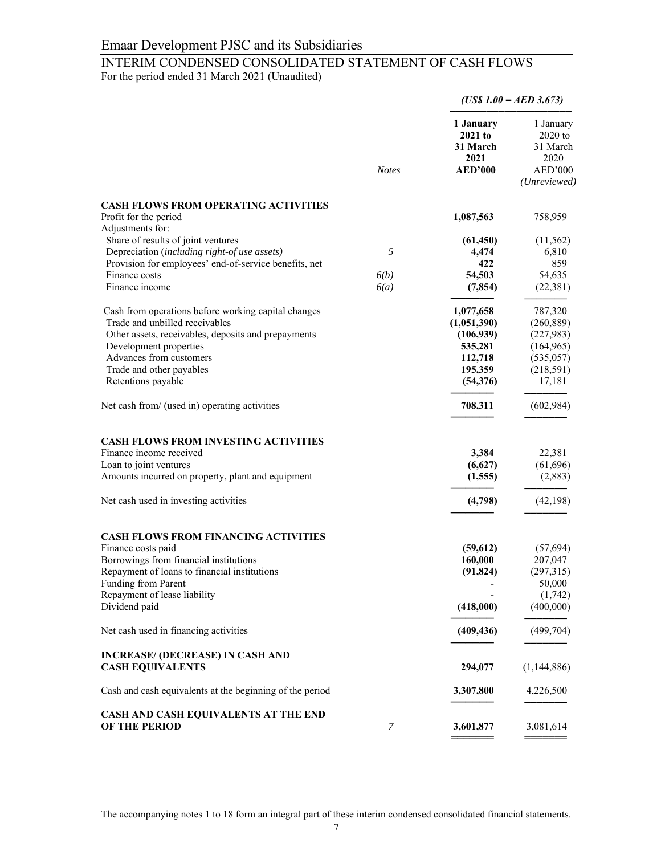# INTERIM CONDENSED CONSOLIDATED STATEMENT OF CASH FLOWS

For the period ended 31 March 2021 (Unaudited)

|                                                                   |              |                                          | $(US$ 1.00 = AED 3.673)$                   |
|-------------------------------------------------------------------|--------------|------------------------------------------|--------------------------------------------|
|                                                                   |              | 1 January<br>2021 to<br>31 March<br>2021 | 1 January<br>$2020$ to<br>31 March<br>2020 |
|                                                                   | <b>Notes</b> | <b>AED'000</b>                           | AED'000<br>(Unreviewed)                    |
| <b>CASH FLOWS FROM OPERATING ACTIVITIES</b>                       |              |                                          |                                            |
| Profit for the period                                             |              | 1,087,563                                | 758,959                                    |
| Adjustments for:                                                  |              |                                          |                                            |
| Share of results of joint ventures                                |              | (61, 450)                                | (11, 562)                                  |
| Depreciation (including right-of use assets)                      | 5            | 4,474                                    | 6,810                                      |
| Provision for employees' end-of-service benefits, net             |              | 422                                      | 859                                        |
| Finance costs                                                     | 6(b)         | 54,503                                   | 54,635                                     |
| Finance income                                                    | 6(a)         | (7, 854)                                 | (22, 381)                                  |
| Cash from operations before working capital changes               |              | 1,077,658                                | 787,320                                    |
| Trade and unbilled receivables                                    |              | (1,051,390)                              | (260, 889)                                 |
| Other assets, receivables, deposits and prepayments               |              | (106, 939)                               | (227, 983)                                 |
| Development properties                                            |              | 535,281                                  | (164, 965)                                 |
| Advances from customers                                           |              | 112,718                                  | (535, 057)                                 |
| Trade and other payables                                          |              | 195,359                                  | (218, 591)                                 |
| Retentions payable                                                |              | (54, 376)                                | 17,181                                     |
| Net cash from/ (used in) operating activities                     |              | 708,311                                  | (602,984)                                  |
| <b>CASH FLOWS FROM INVESTING ACTIVITIES</b>                       |              |                                          |                                            |
| Finance income received                                           |              | 3,384                                    | 22,381                                     |
| Loan to joint ventures                                            |              | (6,627)                                  | (61, 696)                                  |
| Amounts incurred on property, plant and equipment                 |              | (1, 555)                                 | (2,883)                                    |
| Net cash used in investing activities                             |              | (4,798)                                  | (42, 198)                                  |
|                                                                   |              |                                          |                                            |
| <b>CASH FLOWS FROM FINANCING ACTIVITIES</b><br>Finance costs paid |              |                                          | (57, 694)                                  |
| Borrowings from financial institutions                            |              | (59,612)<br>160,000                      |                                            |
| Repayment of loans to financial institutions                      |              | (91, 824)                                | 207,047<br>(297,315)                       |
| Funding from Parent                                               |              |                                          | 50,000                                     |
| Repayment of lease liability                                      |              |                                          | (1,742)                                    |
| Dividend paid                                                     |              | (418,000)                                | (400,000)                                  |
|                                                                   |              |                                          |                                            |
| Net cash used in financing activities                             |              | (409, 436)                               | (499, 704)                                 |
| <b>INCREASE/ (DECREASE) IN CASH AND</b>                           |              |                                          |                                            |
| <b>CASH EQUIVALENTS</b>                                           |              | 294,077                                  | (1,144,886)                                |
| Cash and cash equivalents at the beginning of the period          |              | 3,307,800                                | 4,226,500                                  |
| CASH AND CASH EQUIVALENTS AT THE END                              |              |                                          |                                            |
| <b>OF THE PERIOD</b>                                              | 7            | 3,601,877                                | 3,081,614                                  |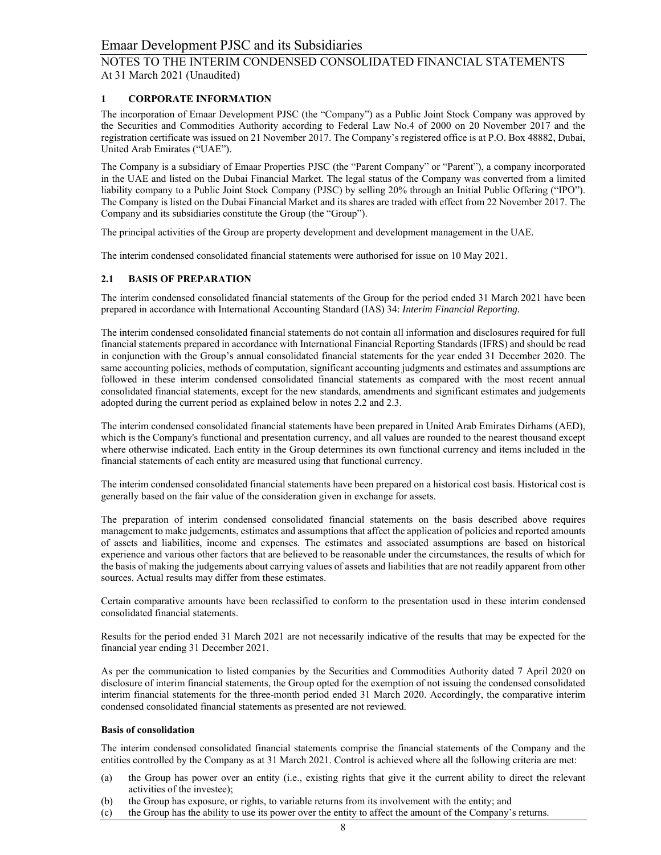# **1 CORPORATE INFORMATION**

The incorporation of Emaar Development PJSC (the "Company") as a Public Joint Stock Company was approved by the Securities and Commodities Authority according to Federal Law No.4 of 2000 on 20 November 2017 and the registration certificate was issued on 21 November 2017. The Company's registered office is at P.O. Box 48882, Dubai, United Arab Emirates ("UAE").

The Company is a subsidiary of Emaar Properties PJSC (the "Parent Company" or "Parent"), a company incorporated in the UAE and listed on the Dubai Financial Market. The legal status of the Company was converted from a limited liability company to a Public Joint Stock Company (PJSC) by selling 20% through an Initial Public Offering ("IPO"). The Company is listed on the Dubai Financial Market and its shares are traded with effect from 22 November 2017. The Company and its subsidiaries constitute the Group (the "Group").

The principal activities of the Group are property development and development management in the UAE.

The interim condensed consolidated financial statements were authorised for issue on 10 May 2021.

# **2.1 BASIS OF PREPARATION**

The interim condensed consolidated financial statements of the Group for the period ended 31 March 2021 have been prepared in accordance with International Accounting Standard (IAS) 34: *Interim Financial Reporting.*

The interim condensed consolidated financial statements do not contain all information and disclosures required for full financial statements prepared in accordance with International Financial Reporting Standards (IFRS) and should be read in conjunction with the Group's annual consolidated financial statements for the year ended 31 December 2020. The same accounting policies, methods of computation, significant accounting judgments and estimates and assumptions are followed in these interim condensed consolidated financial statements as compared with the most recent annual consolidated financial statements, except for the new standards, amendments and significant estimates and judgements adopted during the current period as explained below in notes 2.2 and 2.3.

The interim condensed consolidated financial statements have been prepared in United Arab Emirates Dirhams (AED), which is the Company's functional and presentation currency, and all values are rounded to the nearest thousand except where otherwise indicated. Each entity in the Group determines its own functional currency and items included in the financial statements of each entity are measured using that functional currency.

The interim condensed consolidated financial statements have been prepared on a historical cost basis. Historical cost is generally based on the fair value of the consideration given in exchange for assets.

The preparation of interim condensed consolidated financial statements on the basis described above requires management to make judgements, estimates and assumptions that affect the application of policies and reported amounts of assets and liabilities, income and expenses. The estimates and associated assumptions are based on historical experience and various other factors that are believed to be reasonable under the circumstances, the results of which for the basis of making the judgements about carrying values of assets and liabilities that are not readily apparent from other sources. Actual results may differ from these estimates.

Certain comparative amounts have been reclassified to conform to the presentation used in these interim condensed consolidated financial statements.

Results for the period ended 31 March 2021 are not necessarily indicative of the results that may be expected for the financial year ending 31 December 2021.

As per the communication to listed companies by the Securities and Commodities Authority dated 7 April 2020 on disclosure of interim financial statements, the Group opted for the exemption of not issuing the condensed consolidated interim financial statements for the three-month period ended 31 March 2020. Accordingly, the comparative interim condensed consolidated financial statements as presented are not reviewed.

#### **Basis of consolidation**

The interim condensed consolidated financial statements comprise the financial statements of the Company and the entities controlled by the Company as at 31 March 2021. Control is achieved where all the following criteria are met:

- (a) the Group has power over an entity (i.e., existing rights that give it the current ability to direct the relevant activities of the investee);
- (b) the Group has exposure, or rights, to variable returns from its involvement with the entity; and
- (c) the Group has the ability to use its power over the entity to affect the amount of the Company's returns.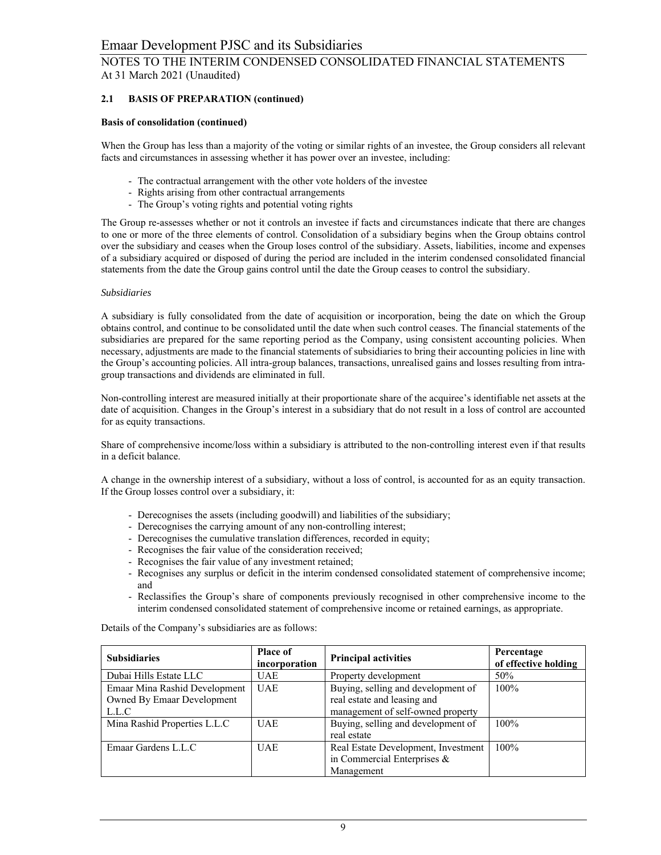# **2.1 BASIS OF PREPARATION (continued)**

#### **Basis of consolidation (continued)**

When the Group has less than a majority of the voting or similar rights of an investee, the Group considers all relevant facts and circumstances in assessing whether it has power over an investee, including:

- The contractual arrangement with the other vote holders of the investee
- Rights arising from other contractual arrangements
- The Group's voting rights and potential voting rights

The Group re-assesses whether or not it controls an investee if facts and circumstances indicate that there are changes to one or more of the three elements of control. Consolidation of a subsidiary begins when the Group obtains control over the subsidiary and ceases when the Group loses control of the subsidiary. Assets, liabilities, income and expenses of a subsidiary acquired or disposed of during the period are included in the interim condensed consolidated financial statements from the date the Group gains control until the date the Group ceases to control the subsidiary.

#### *Subsidiaries*

A subsidiary is fully consolidated from the date of acquisition or incorporation, being the date on which the Group obtains control, and continue to be consolidated until the date when such control ceases. The financial statements of the subsidiaries are prepared for the same reporting period as the Company, using consistent accounting policies. When necessary, adjustments are made to the financial statements of subsidiaries to bring their accounting policies in line with the Group's accounting policies. All intra-group balances, transactions, unrealised gains and losses resulting from intragroup transactions and dividends are eliminated in full.

Non-controlling interest are measured initially at their proportionate share of the acquiree's identifiable net assets at the date of acquisition. Changes in the Group's interest in a subsidiary that do not result in a loss of control are accounted for as equity transactions.

Share of comprehensive income/loss within a subsidiary is attributed to the non-controlling interest even if that results in a deficit balance.

A change in the ownership interest of a subsidiary, without a loss of control, is accounted for as an equity transaction. If the Group losses control over a subsidiary, it:

- Derecognises the assets (including goodwill) and liabilities of the subsidiary;
- Derecognises the carrying amount of any non-controlling interest;
- Derecognises the cumulative translation differences, recorded in equity;
- Recognises the fair value of the consideration received;
- Recognises the fair value of any investment retained;
- Recognises any surplus or deficit in the interim condensed consolidated statement of comprehensive income; and
- Reclassifies the Group's share of components previously recognised in other comprehensive income to the interim condensed consolidated statement of comprehensive income or retained earnings, as appropriate.

Details of the Company's subsidiaries are as follows:

| <b>Subsidiaries</b>           | <b>Place of</b><br>incorporation | <b>Principal activities</b>         | Percentage<br>of effective holding |
|-------------------------------|----------------------------------|-------------------------------------|------------------------------------|
| Dubai Hills Estate LLC        | <b>UAE</b>                       | Property development                | 50%                                |
| Emaar Mina Rashid Development | <b>UAE</b>                       | Buying, selling and development of  | $100\%$                            |
| Owned By Emaar Development    |                                  | real estate and leasing and         |                                    |
| L.L.C                         |                                  | management of self-owned property   |                                    |
| Mina Rashid Properties L.L.C  | <b>UAE</b>                       | Buying, selling and development of  | $100\%$                            |
|                               |                                  | real estate                         |                                    |
| Emaar Gardens L.L.C           | <b>UAE</b>                       | Real Estate Development, Investment | $100\%$                            |
|                               |                                  | in Commercial Enterprises $\&$      |                                    |
|                               |                                  | Management                          |                                    |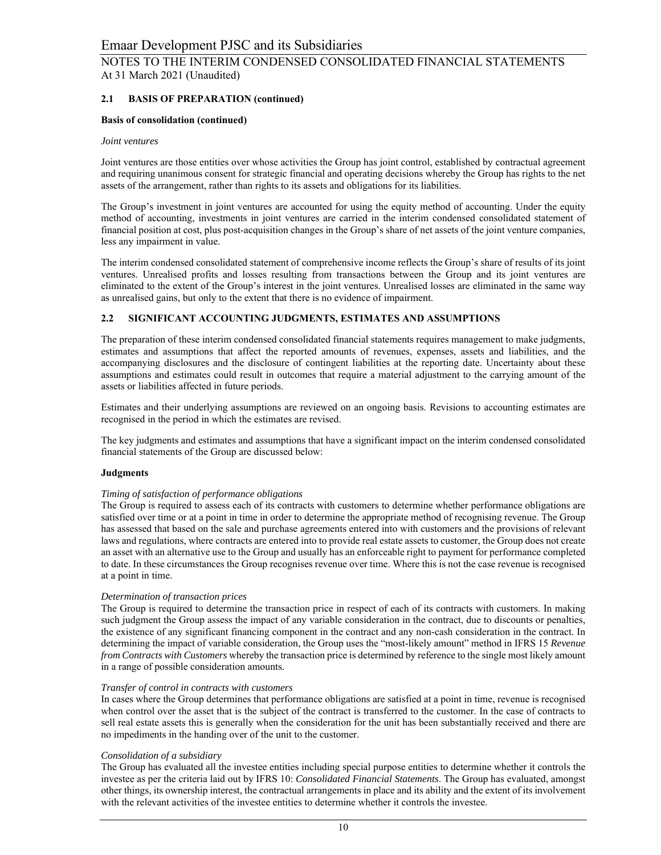# **2.1 BASIS OF PREPARATION (continued)**

## **Basis of consolidation (continued)**

#### *Joint ventures*

Joint ventures are those entities over whose activities the Group has joint control, established by contractual agreement and requiring unanimous consent for strategic financial and operating decisions whereby the Group has rights to the net assets of the arrangement, rather than rights to its assets and obligations for its liabilities.

The Group's investment in joint ventures are accounted for using the equity method of accounting. Under the equity method of accounting, investments in joint ventures are carried in the interim condensed consolidated statement of financial position at cost, plus post-acquisition changes in the Group's share of net assets of the joint venture companies, less any impairment in value.

The interim condensed consolidated statement of comprehensive income reflects the Group's share of results of its joint ventures. Unrealised profits and losses resulting from transactions between the Group and its joint ventures are eliminated to the extent of the Group's interest in the joint ventures. Unrealised losses are eliminated in the same way as unrealised gains, but only to the extent that there is no evidence of impairment.

## **2.2 SIGNIFICANT ACCOUNTING JUDGMENTS, ESTIMATES AND ASSUMPTIONS**

The preparation of these interim condensed consolidated financial statements requires management to make judgments, estimates and assumptions that affect the reported amounts of revenues, expenses, assets and liabilities, and the accompanying disclosures and the disclosure of contingent liabilities at the reporting date. Uncertainty about these assumptions and estimates could result in outcomes that require a material adjustment to the carrying amount of the assets or liabilities affected in future periods.

Estimates and their underlying assumptions are reviewed on an ongoing basis. Revisions to accounting estimates are recognised in the period in which the estimates are revised.

The key judgments and estimates and assumptions that have a significant impact on the interim condensed consolidated financial statements of the Group are discussed below:

## **Judgments**

#### *Timing of satisfaction of performance obligations*

The Group is required to assess each of its contracts with customers to determine whether performance obligations are satisfied over time or at a point in time in order to determine the appropriate method of recognising revenue. The Group has assessed that based on the sale and purchase agreements entered into with customers and the provisions of relevant laws and regulations, where contracts are entered into to provide real estate assets to customer, the Group does not create an asset with an alternative use to the Group and usually has an enforceable right to payment for performance completed to date. In these circumstances the Group recognises revenue over time. Where this is not the case revenue is recognised at a point in time.

#### *Determination of transaction prices*

The Group is required to determine the transaction price in respect of each of its contracts with customers. In making such judgment the Group assess the impact of any variable consideration in the contract, due to discounts or penalties, the existence of any significant financing component in the contract and any non-cash consideration in the contract. In determining the impact of variable consideration, the Group uses the "most-likely amount" method in IFRS 15 *Revenue from Contracts with Customers* whereby the transaction price is determined by reference to the single most likely amount in a range of possible consideration amounts.

#### *Transfer of control in contracts with customers*

In cases where the Group determines that performance obligations are satisfied at a point in time, revenue is recognised when control over the asset that is the subject of the contract is transferred to the customer. In the case of contracts to sell real estate assets this is generally when the consideration for the unit has been substantially received and there are no impediments in the handing over of the unit to the customer.

#### *Consolidation of a subsidiary*

The Group has evaluated all the investee entities including special purpose entities to determine whether it controls the investee as per the criteria laid out by IFRS 10: *Consolidated Financial Statements*. The Group has evaluated, amongst other things, its ownership interest, the contractual arrangements in place and its ability and the extent of its involvement with the relevant activities of the investee entities to determine whether it controls the investee.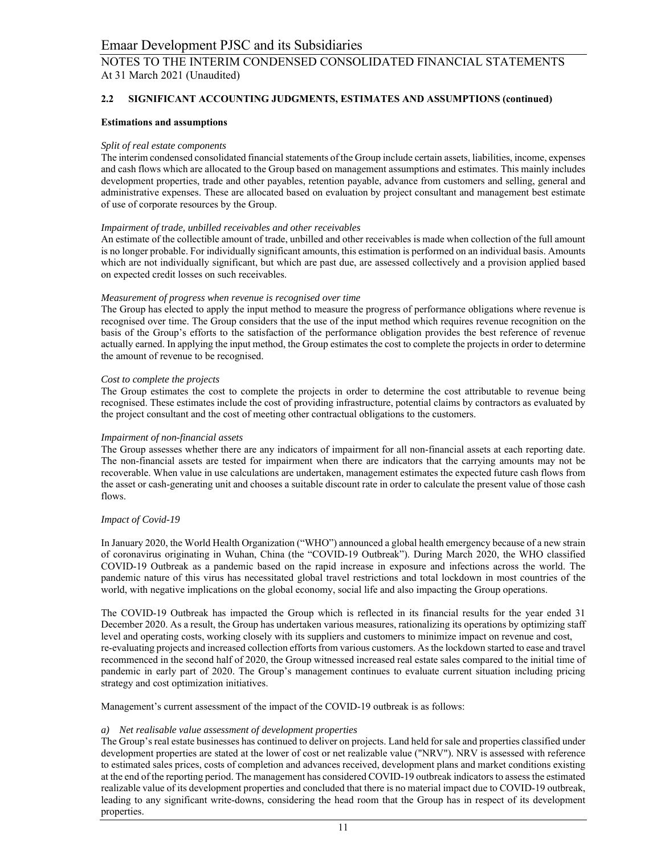# **2.2 SIGNIFICANT ACCOUNTING JUDGMENTS, ESTIMATES AND ASSUMPTIONS (continued)**

## **Estimations and assumptions**

#### *Split of real estate components*

The interim condensed consolidated financial statements of the Group include certain assets, liabilities, income, expenses and cash flows which are allocated to the Group based on management assumptions and estimates. This mainly includes development properties, trade and other payables, retention payable, advance from customers and selling, general and administrative expenses. These are allocated based on evaluation by project consultant and management best estimate of use of corporate resources by the Group.

#### *Impairment of trade, unbilled receivables and other receivables*

An estimate of the collectible amount of trade, unbilled and other receivables is made when collection of the full amount is no longer probable. For individually significant amounts, this estimation is performed on an individual basis. Amounts which are not individually significant, but which are past due, are assessed collectively and a provision applied based on expected credit losses on such receivables.

#### *Measurement of progress when revenue is recognised over time*

The Group has elected to apply the input method to measure the progress of performance obligations where revenue is recognised over time. The Group considers that the use of the input method which requires revenue recognition on the basis of the Group's efforts to the satisfaction of the performance obligation provides the best reference of revenue actually earned. In applying the input method, the Group estimates the cost to complete the projects in order to determine the amount of revenue to be recognised.

#### *Cost to complete the projects*

The Group estimates the cost to complete the projects in order to determine the cost attributable to revenue being recognised. These estimates include the cost of providing infrastructure, potential claims by contractors as evaluated by the project consultant and the cost of meeting other contractual obligations to the customers.

#### *Impairment of non-financial assets*

The Group assesses whether there are any indicators of impairment for all non-financial assets at each reporting date. The non-financial assets are tested for impairment when there are indicators that the carrying amounts may not be recoverable. When value in use calculations are undertaken, management estimates the expected future cash flows from the asset or cash-generating unit and chooses a suitable discount rate in order to calculate the present value of those cash flows.

#### *Impact of Covid-19*

In January 2020, the World Health Organization ("WHO") announced a global health emergency because of a new strain of coronavirus originating in Wuhan, China (the "COVID-19 Outbreak"). During March 2020, the WHO classified COVID-19 Outbreak as a pandemic based on the rapid increase in exposure and infections across the world. The pandemic nature of this virus has necessitated global travel restrictions and total lockdown in most countries of the world, with negative implications on the global economy, social life and also impacting the Group operations.

The COVID-19 Outbreak has impacted the Group which is reflected in its financial results for the year ended 31 December 2020. As a result, the Group has undertaken various measures, rationalizing its operations by optimizing staff level and operating costs, working closely with its suppliers and customers to minimize impact on revenue and cost, re-evaluating projects and increased collection efforts from various customers. As the lockdown started to ease and travel recommenced in the second half of 2020, the Group witnessed increased real estate sales compared to the initial time of pandemic in early part of 2020. The Group's management continues to evaluate current situation including pricing strategy and cost optimization initiatives.

Management's current assessment of the impact of the COVID-19 outbreak is as follows:

## *a) Net realisable value assessment of development properties*

The Group's real estate businesses has continued to deliver on projects. Land held for sale and properties classified under development properties are stated at the lower of cost or net realizable value ("NRV"). NRV is assessed with reference to estimated sales prices, costs of completion and advances received, development plans and market conditions existing at the end of the reporting period. The management has considered COVID-19 outbreak indicators to assess the estimated realizable value of its development properties and concluded that there is no material impact due to COVID-19 outbreak, leading to any significant write-downs, considering the head room that the Group has in respect of its development properties.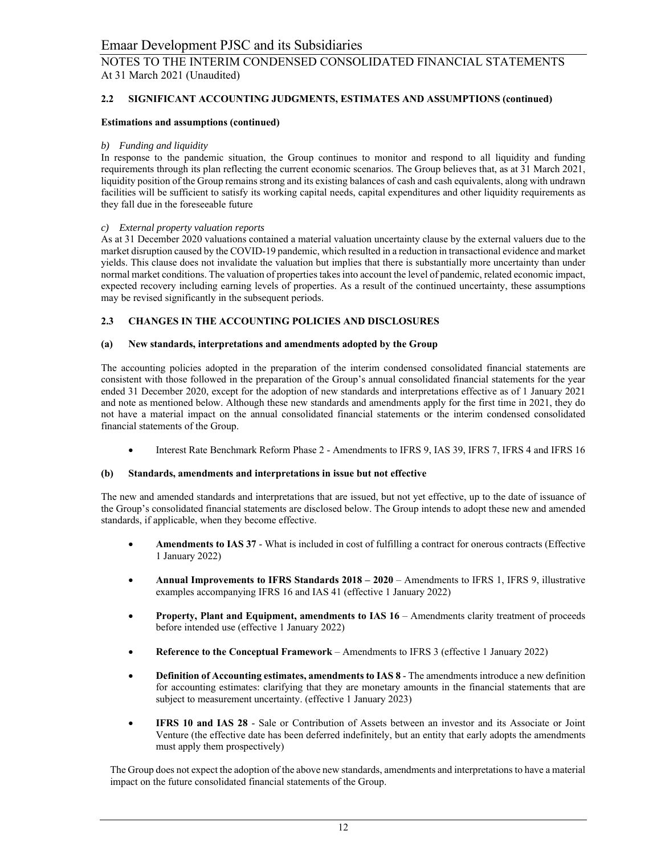# **2.2 SIGNIFICANT ACCOUNTING JUDGMENTS, ESTIMATES AND ASSUMPTIONS (continued)**

## **Estimations and assumptions (continued)**

# *b) Funding and liquidity*

In response to the pandemic situation, the Group continues to monitor and respond to all liquidity and funding requirements through its plan reflecting the current economic scenarios. The Group believes that, as at 31 March 2021, liquidity position of the Group remains strong and its existing balances of cash and cash equivalents, along with undrawn facilities will be sufficient to satisfy its working capital needs, capital expenditures and other liquidity requirements as they fall due in the foreseeable future

## *c) External property valuation reports*

As at 31 December 2020 valuations contained a material valuation uncertainty clause by the external valuers due to the market disruption caused by the COVID-19 pandemic, which resulted in a reduction in transactional evidence and market yields. This clause does not invalidate the valuation but implies that there is substantially more uncertainty than under normal market conditions. The valuation of properties takes into account the level of pandemic, related economic impact, expected recovery including earning levels of properties. As a result of the continued uncertainty, these assumptions may be revised significantly in the subsequent periods.

# **2.3 CHANGES IN THE ACCOUNTING POLICIES AND DISCLOSURES**

## **(a) New standards, interpretations and amendments adopted by the Group**

The accounting policies adopted in the preparation of the interim condensed consolidated financial statements are consistent with those followed in the preparation of the Group's annual consolidated financial statements for the year ended 31 December 2020, except for the adoption of new standards and interpretations effective as of 1 January 2021 and note as mentioned below. Although these new standards and amendments apply for the first time in 2021, they do not have a material impact on the annual consolidated financial statements or the interim condensed consolidated financial statements of the Group.

Interest Rate Benchmark Reform Phase 2 - Amendments to IFRS 9, IAS 39, IFRS 7, IFRS 4 and IFRS 16

## **(b) Standards, amendments and interpretations in issue but not effective**

The new and amended standards and interpretations that are issued, but not yet effective, up to the date of issuance of the Group's consolidated financial statements are disclosed below. The Group intends to adopt these new and amended standards, if applicable, when they become effective.

- **Amendments to IAS 37**  What is included in cost of fulfilling a contract for onerous contracts (Effective 1 January 2022)
- **Annual Improvements to IFRS Standards 2018 2020** Amendments to IFRS 1, IFRS 9, illustrative examples accompanying IFRS 16 and IAS 41 (effective 1 January 2022)
- **Property, Plant and Equipment, amendments to IAS 16** Amendments clarity treatment of proceeds before intended use (effective 1 January 2022)
- **Reference to the Conceptual Framework**  Amendments to IFRS 3 (effective 1 January 2022)
- **Definition of Accounting estimates, amendments to IAS 8** The amendments introduce a new definition for accounting estimates: clarifying that they are monetary amounts in the financial statements that are subject to measurement uncertainty. (effective 1 January 2023)
- **IFRS 10 and IAS 28** Sale or Contribution of Assets between an investor and its Associate or Joint Venture (the effective date has been deferred indefinitely, but an entity that early adopts the amendments must apply them prospectively)

The Group does not expect the adoption of the above new standards, amendments and interpretations to have a material impact on the future consolidated financial statements of the Group.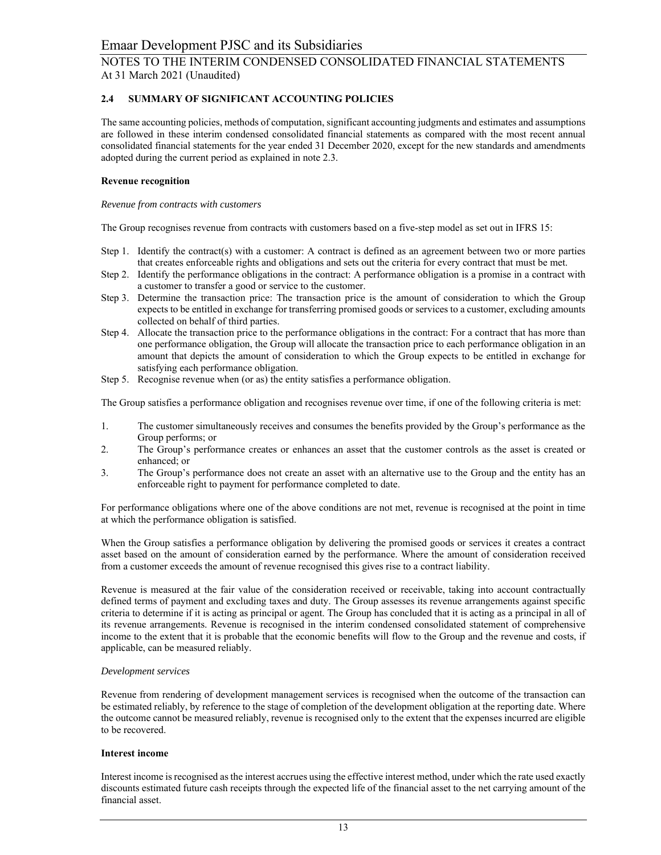# **2.4 SUMMARY OF SIGNIFICANT ACCOUNTING POLICIES**

The same accounting policies, methods of computation, significant accounting judgments and estimates and assumptions are followed in these interim condensed consolidated financial statements as compared with the most recent annual consolidated financial statements for the year ended 31 December 2020, except for the new standards and amendments adopted during the current period as explained in note 2.3.

#### **Revenue recognition**

#### *Revenue from contracts with customers*

The Group recognises revenue from contracts with customers based on a five-step model as set out in IFRS 15:

- Step 1. Identify the contract(s) with a customer: A contract is defined as an agreement between two or more parties that creates enforceable rights and obligations and sets out the criteria for every contract that must be met.
- Step 2. Identify the performance obligations in the contract: A performance obligation is a promise in a contract with a customer to transfer a good or service to the customer.
- Step 3. Determine the transaction price: The transaction price is the amount of consideration to which the Group expects to be entitled in exchange for transferring promised goods or services to a customer, excluding amounts collected on behalf of third parties.
- Step 4. Allocate the transaction price to the performance obligations in the contract: For a contract that has more than one performance obligation, the Group will allocate the transaction price to each performance obligation in an amount that depicts the amount of consideration to which the Group expects to be entitled in exchange for satisfying each performance obligation.
- Step 5. Recognise revenue when (or as) the entity satisfies a performance obligation.

The Group satisfies a performance obligation and recognises revenue over time, if one of the following criteria is met:

- 1. The customer simultaneously receives and consumes the benefits provided by the Group's performance as the Group performs; or
- 2. The Group's performance creates or enhances an asset that the customer controls as the asset is created or enhanced; or
- 3. The Group's performance does not create an asset with an alternative use to the Group and the entity has an enforceable right to payment for performance completed to date.

For performance obligations where one of the above conditions are not met, revenue is recognised at the point in time at which the performance obligation is satisfied.

When the Group satisfies a performance obligation by delivering the promised goods or services it creates a contract asset based on the amount of consideration earned by the performance. Where the amount of consideration received from a customer exceeds the amount of revenue recognised this gives rise to a contract liability.

Revenue is measured at the fair value of the consideration received or receivable, taking into account contractually defined terms of payment and excluding taxes and duty. The Group assesses its revenue arrangements against specific criteria to determine if it is acting as principal or agent. The Group has concluded that it is acting as a principal in all of its revenue arrangements. Revenue is recognised in the interim condensed consolidated statement of comprehensive income to the extent that it is probable that the economic benefits will flow to the Group and the revenue and costs, if applicable, can be measured reliably.

## *Development services*

Revenue from rendering of development management services is recognised when the outcome of the transaction can be estimated reliably, by reference to the stage of completion of the development obligation at the reporting date. Where the outcome cannot be measured reliably, revenue is recognised only to the extent that the expenses incurred are eligible to be recovered.

#### **Interest income**

Interest income is recognised as the interest accrues using the effective interest method, under which the rate used exactly discounts estimated future cash receipts through the expected life of the financial asset to the net carrying amount of the financial asset.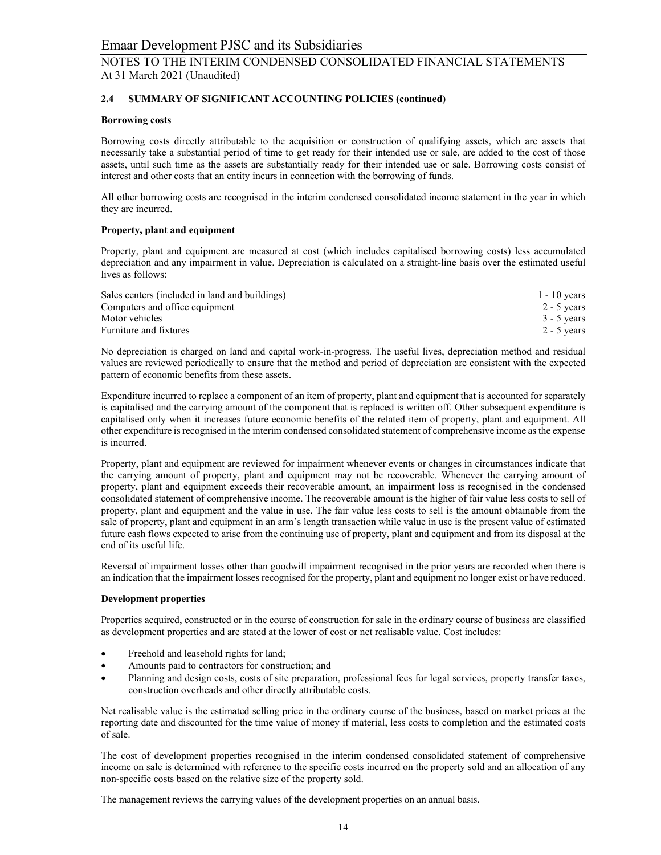# **2.4 SUMMARY OF SIGNIFICANT ACCOUNTING POLICIES (continued)**

## **Borrowing costs**

Borrowing costs directly attributable to the acquisition or construction of qualifying assets, which are assets that necessarily take a substantial period of time to get ready for their intended use or sale, are added to the cost of those assets, until such time as the assets are substantially ready for their intended use or sale. Borrowing costs consist of interest and other costs that an entity incurs in connection with the borrowing of funds.

All other borrowing costs are recognised in the interim condensed consolidated income statement in the year in which they are incurred.

## **Property, plant and equipment**

Property, plant and equipment are measured at cost (which includes capitalised borrowing costs) less accumulated depreciation and any impairment in value. Depreciation is calculated on a straight-line basis over the estimated useful lives as follows:

| Sales centers (included in land and buildings) | $1 - 10$ years |
|------------------------------------------------|----------------|
| Computers and office equipment                 | $2 - 5$ years  |
| Motor vehicles                                 | $3 - 5$ years  |
| Furniture and fixtures                         | $2 - 5$ vears  |

No depreciation is charged on land and capital work-in-progress. The useful lives, depreciation method and residual values are reviewed periodically to ensure that the method and period of depreciation are consistent with the expected pattern of economic benefits from these assets.

Expenditure incurred to replace a component of an item of property, plant and equipment that is accounted for separately is capitalised and the carrying amount of the component that is replaced is written off. Other subsequent expenditure is capitalised only when it increases future economic benefits of the related item of property, plant and equipment. All other expenditure is recognised in the interim condensed consolidated statement of comprehensive income as the expense is incurred.

Property, plant and equipment are reviewed for impairment whenever events or changes in circumstances indicate that the carrying amount of property, plant and equipment may not be recoverable. Whenever the carrying amount of property, plant and equipment exceeds their recoverable amount, an impairment loss is recognised in the condensed consolidated statement of comprehensive income. The recoverable amount is the higher of fair value less costs to sell of property, plant and equipment and the value in use. The fair value less costs to sell is the amount obtainable from the sale of property, plant and equipment in an arm's length transaction while value in use is the present value of estimated future cash flows expected to arise from the continuing use of property, plant and equipment and from its disposal at the end of its useful life.

Reversal of impairment losses other than goodwill impairment recognised in the prior years are recorded when there is an indication that the impairment losses recognised for the property, plant and equipment no longer exist or have reduced.

## **Development properties**

Properties acquired, constructed or in the course of construction for sale in the ordinary course of business are classified as development properties and are stated at the lower of cost or net realisable value. Cost includes:

- Freehold and leasehold rights for land;
- Amounts paid to contractors for construction; and
- Planning and design costs, costs of site preparation, professional fees for legal services, property transfer taxes, construction overheads and other directly attributable costs.

Net realisable value is the estimated selling price in the ordinary course of the business, based on market prices at the reporting date and discounted for the time value of money if material, less costs to completion and the estimated costs of sale.

The cost of development properties recognised in the interim condensed consolidated statement of comprehensive income on sale is determined with reference to the specific costs incurred on the property sold and an allocation of any non-specific costs based on the relative size of the property sold.

The management reviews the carrying values of the development properties on an annual basis.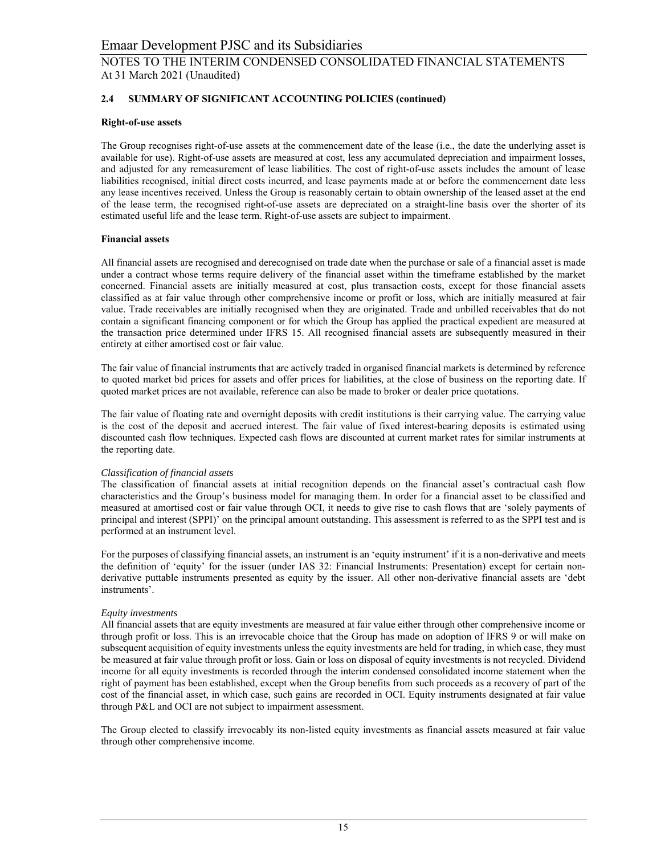# **2.4 SUMMARY OF SIGNIFICANT ACCOUNTING POLICIES (continued)**

# **Right-of-use assets**

The Group recognises right-of-use assets at the commencement date of the lease (i.e., the date the underlying asset is available for use). Right-of-use assets are measured at cost, less any accumulated depreciation and impairment losses, and adjusted for any remeasurement of lease liabilities. The cost of right-of-use assets includes the amount of lease liabilities recognised, initial direct costs incurred, and lease payments made at or before the commencement date less any lease incentives received. Unless the Group is reasonably certain to obtain ownership of the leased asset at the end of the lease term, the recognised right-of-use assets are depreciated on a straight-line basis over the shorter of its estimated useful life and the lease term. Right-of-use assets are subject to impairment.

# **Financial assets**

All financial assets are recognised and derecognised on trade date when the purchase or sale of a financial asset is made under a contract whose terms require delivery of the financial asset within the timeframe established by the market concerned. Financial assets are initially measured at cost, plus transaction costs, except for those financial assets classified as at fair value through other comprehensive income or profit or loss, which are initially measured at fair value. Trade receivables are initially recognised when they are originated. Trade and unbilled receivables that do not contain a significant financing component or for which the Group has applied the practical expedient are measured at the transaction price determined under IFRS 15. All recognised financial assets are subsequently measured in their entirety at either amortised cost or fair value.

The fair value of financial instruments that are actively traded in organised financial markets is determined by reference to quoted market bid prices for assets and offer prices for liabilities, at the close of business on the reporting date. If quoted market prices are not available, reference can also be made to broker or dealer price quotations.

The fair value of floating rate and overnight deposits with credit institutions is their carrying value. The carrying value is the cost of the deposit and accrued interest. The fair value of fixed interest-bearing deposits is estimated using discounted cash flow techniques. Expected cash flows are discounted at current market rates for similar instruments at the reporting date.

## *Classification of financial assets*

The classification of financial assets at initial recognition depends on the financial asset's contractual cash flow characteristics and the Group's business model for managing them. In order for a financial asset to be classified and measured at amortised cost or fair value through OCI, it needs to give rise to cash flows that are 'solely payments of principal and interest (SPPI)' on the principal amount outstanding. This assessment is referred to as the SPPI test and is performed at an instrument level.

For the purposes of classifying financial assets, an instrument is an 'equity instrument' if it is a non-derivative and meets the definition of 'equity' for the issuer (under IAS 32: Financial Instruments: Presentation) except for certain nonderivative puttable instruments presented as equity by the issuer. All other non-derivative financial assets are 'debt instruments'.

## *Equity investments*

All financial assets that are equity investments are measured at fair value either through other comprehensive income or through profit or loss. This is an irrevocable choice that the Group has made on adoption of IFRS 9 or will make on subsequent acquisition of equity investments unless the equity investments are held for trading, in which case, they must be measured at fair value through profit or loss. Gain or loss on disposal of equity investments is not recycled. Dividend income for all equity investments is recorded through the interim condensed consolidated income statement when the right of payment has been established, except when the Group benefits from such proceeds as a recovery of part of the cost of the financial asset, in which case, such gains are recorded in OCI. Equity instruments designated at fair value through P&L and OCI are not subject to impairment assessment.

The Group elected to classify irrevocably its non-listed equity investments as financial assets measured at fair value through other comprehensive income.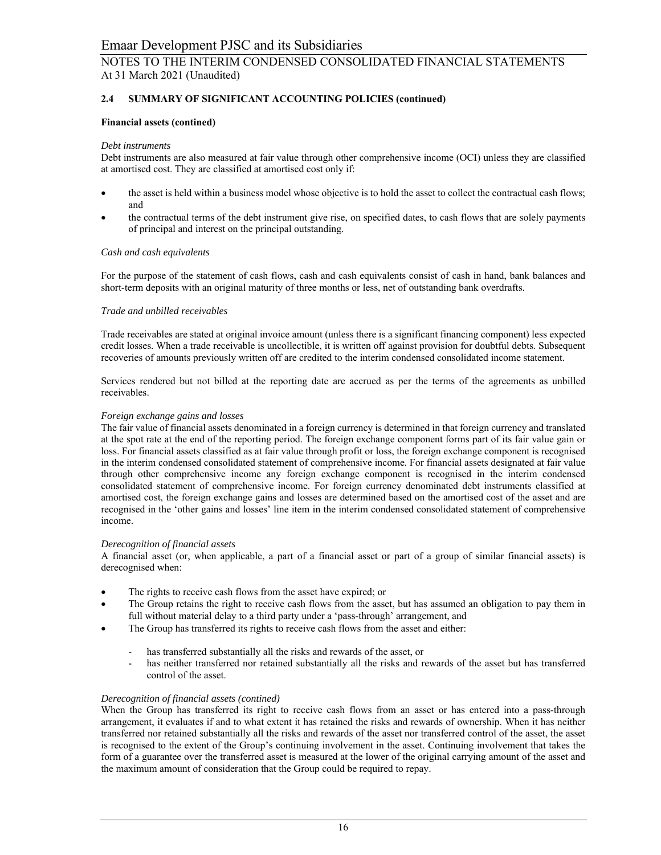# **2.4 SUMMARY OF SIGNIFICANT ACCOUNTING POLICIES (continued)**

## **Financial assets (contined)**

#### *Debt instruments*

Debt instruments are also measured at fair value through other comprehensive income (OCI) unless they are classified at amortised cost. They are classified at amortised cost only if:

- the asset is held within a business model whose objective is to hold the asset to collect the contractual cash flows; and
- the contractual terms of the debt instrument give rise, on specified dates, to cash flows that are solely payments of principal and interest on the principal outstanding.

#### *Cash and cash equivalents*

For the purpose of the statement of cash flows, cash and cash equivalents consist of cash in hand, bank balances and short-term deposits with an original maturity of three months or less, net of outstanding bank overdrafts.

#### *Trade and unbilled receivables*

Trade receivables are stated at original invoice amount (unless there is a significant financing component) less expected credit losses. When a trade receivable is uncollectible, it is written off against provision for doubtful debts. Subsequent recoveries of amounts previously written off are credited to the interim condensed consolidated income statement.

Services rendered but not billed at the reporting date are accrued as per the terms of the agreements as unbilled receivables.

#### *Foreign exchange gains and losses*

The fair value of financial assets denominated in a foreign currency is determined in that foreign currency and translated at the spot rate at the end of the reporting period. The foreign exchange component forms part of its fair value gain or loss. For financial assets classified as at fair value through profit or loss, the foreign exchange component is recognised in the interim condensed consolidated statement of comprehensive income. For financial assets designated at fair value through other comprehensive income any foreign exchange component is recognised in the interim condensed consolidated statement of comprehensive income. For foreign currency denominated debt instruments classified at amortised cost, the foreign exchange gains and losses are determined based on the amortised cost of the asset and are recognised in the 'other gains and losses' line item in the interim condensed consolidated statement of comprehensive income.

#### *Derecognition of financial assets*

A financial asset (or, when applicable, a part of a financial asset or part of a group of similar financial assets) is derecognised when:

- The rights to receive cash flows from the asset have expired; or
- The Group retains the right to receive cash flows from the asset, but has assumed an obligation to pay them in full without material delay to a third party under a 'pass-through' arrangement, and
- The Group has transferred its rights to receive cash flows from the asset and either:
	- has transferred substantially all the risks and rewards of the asset, or
	- has neither transferred nor retained substantially all the risks and rewards of the asset but has transferred control of the asset.

## *Derecognition of financial assets (contined)*

When the Group has transferred its right to receive cash flows from an asset or has entered into a pass-through arrangement, it evaluates if and to what extent it has retained the risks and rewards of ownership. When it has neither transferred nor retained substantially all the risks and rewards of the asset nor transferred control of the asset, the asset is recognised to the extent of the Group's continuing involvement in the asset. Continuing involvement that takes the form of a guarantee over the transferred asset is measured at the lower of the original carrying amount of the asset and the maximum amount of consideration that the Group could be required to repay.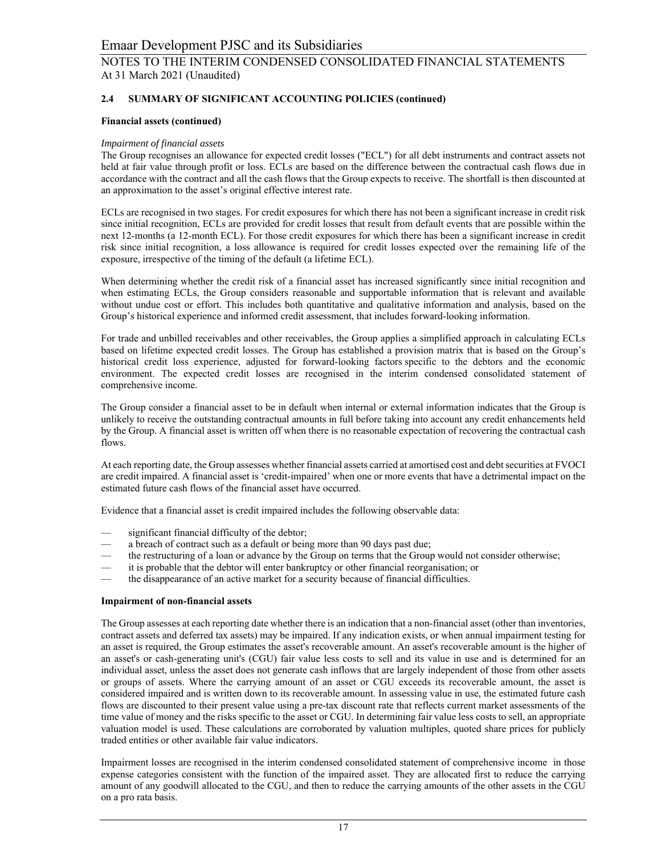# **2.4 SUMMARY OF SIGNIFICANT ACCOUNTING POLICIES (continued)**

# **Financial assets (continued)**

## *Impairment of financial assets*

The Group recognises an allowance for expected credit losses ("ECL") for all debt instruments and contract assets not held at fair value through profit or loss. ECLs are based on the difference between the contractual cash flows due in accordance with the contract and all the cash flows that the Group expects to receive. The shortfall is then discounted at an approximation to the asset's original effective interest rate.

ECLs are recognised in two stages. For credit exposures for which there has not been a significant increase in credit risk since initial recognition, ECLs are provided for credit losses that result from default events that are possible within the next 12-months (a 12-month ECL). For those credit exposures for which there has been a significant increase in credit risk since initial recognition, a loss allowance is required for credit losses expected over the remaining life of the exposure, irrespective of the timing of the default (a lifetime ECL).

When determining whether the credit risk of a financial asset has increased significantly since initial recognition and when estimating ECLs, the Group considers reasonable and supportable information that is relevant and available without undue cost or effort. This includes both quantitative and qualitative information and analysis, based on the Group's historical experience and informed credit assessment, that includes forward-looking information.

For trade and unbilled receivables and other receivables, the Group applies a simplified approach in calculating ECLs based on lifetime expected credit losses. The Group has established a provision matrix that is based on the Group's historical credit loss experience, adjusted for forward-looking factors specific to the debtors and the economic environment. The expected credit losses are recognised in the interim condensed consolidated statement of comprehensive income.

The Group consider a financial asset to be in default when internal or external information indicates that the Group is unlikely to receive the outstanding contractual amounts in full before taking into account any credit enhancements held by the Group. A financial asset is written off when there is no reasonable expectation of recovering the contractual cash flows.

At each reporting date, the Group assesses whether financial assets carried at amortised cost and debt securities at FVOCI are credit impaired. A financial asset is 'credit-impaired' when one or more events that have a detrimental impact on the estimated future cash flows of the financial asset have occurred.

Evidence that a financial asset is credit impaired includes the following observable data:

- significant financial difficulty of the debtor;
- a breach of contract such as a default or being more than 90 days past due;
- –– the restructuring of a loan or advance by the Group on terms that the Group would not consider otherwise;
- –– it is probable that the debtor will enter bankruptcy or other financial reorganisation; or
- the disappearance of an active market for a security because of financial difficulties.

## **Impairment of non-financial assets**

The Group assesses at each reporting date whether there is an indication that a non-financial asset (other than inventories, contract assets and deferred tax assets) may be impaired. If any indication exists, or when annual impairment testing for an asset is required, the Group estimates the asset's recoverable amount. An asset's recoverable amount is the higher of an asset's or cash-generating unit's (CGU) fair value less costs to sell and its value in use and is determined for an individual asset, unless the asset does not generate cash inflows that are largely independent of those from other assets or groups of assets. Where the carrying amount of an asset or CGU exceeds its recoverable amount, the asset is considered impaired and is written down to its recoverable amount. In assessing value in use, the estimated future cash flows are discounted to their present value using a pre-tax discount rate that reflects current market assessments of the time value of money and the risks specific to the asset or CGU. In determining fair value less costs to sell, an appropriate valuation model is used. These calculations are corroborated by valuation multiples, quoted share prices for publicly traded entities or other available fair value indicators.

Impairment losses are recognised in the interim condensed consolidated statement of comprehensive income in those expense categories consistent with the function of the impaired asset. They are allocated first to reduce the carrying amount of any goodwill allocated to the CGU, and then to reduce the carrying amounts of the other assets in the CGU on a pro rata basis.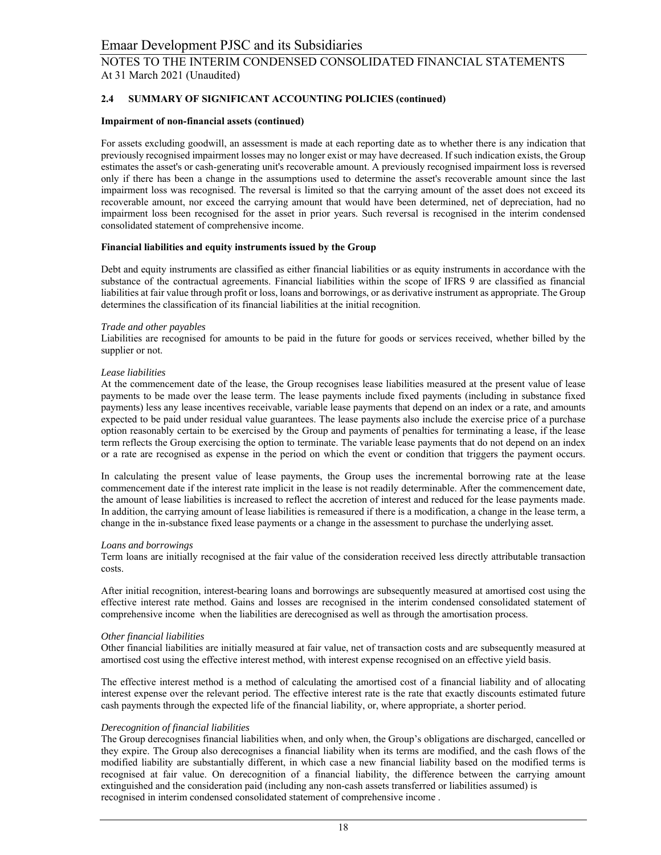# **2.4 SUMMARY OF SIGNIFICANT ACCOUNTING POLICIES (continued)**

#### **Impairment of non-financial assets (continued)**

For assets excluding goodwill, an assessment is made at each reporting date as to whether there is any indication that previously recognised impairment losses may no longer exist or may have decreased. If such indication exists, the Group estimates the asset's or cash-generating unit's recoverable amount. A previously recognised impairment loss is reversed only if there has been a change in the assumptions used to determine the asset's recoverable amount since the last impairment loss was recognised. The reversal is limited so that the carrying amount of the asset does not exceed its recoverable amount, nor exceed the carrying amount that would have been determined, net of depreciation, had no impairment loss been recognised for the asset in prior years. Such reversal is recognised in the interim condensed consolidated statement of comprehensive income.

#### **Financial liabilities and equity instruments issued by the Group**

Debt and equity instruments are classified as either financial liabilities or as equity instruments in accordance with the substance of the contractual agreements. Financial liabilities within the scope of IFRS 9 are classified as financial liabilities at fair value through profit or loss, loans and borrowings, or as derivative instrument as appropriate. The Group determines the classification of its financial liabilities at the initial recognition.

#### *Trade and other payables*

Liabilities are recognised for amounts to be paid in the future for goods or services received, whether billed by the supplier or not.

#### *Lease liabilities*

At the commencement date of the lease, the Group recognises lease liabilities measured at the present value of lease payments to be made over the lease term. The lease payments include fixed payments (including in substance fixed payments) less any lease incentives receivable, variable lease payments that depend on an index or a rate, and amounts expected to be paid under residual value guarantees. The lease payments also include the exercise price of a purchase option reasonably certain to be exercised by the Group and payments of penalties for terminating a lease, if the lease term reflects the Group exercising the option to terminate. The variable lease payments that do not depend on an index or a rate are recognised as expense in the period on which the event or condition that triggers the payment occurs.

In calculating the present value of lease payments, the Group uses the incremental borrowing rate at the lease commencement date if the interest rate implicit in the lease is not readily determinable. After the commencement date, the amount of lease liabilities is increased to reflect the accretion of interest and reduced for the lease payments made. In addition, the carrying amount of lease liabilities is remeasured if there is a modification, a change in the lease term, a change in the in-substance fixed lease payments or a change in the assessment to purchase the underlying asset*.* 

#### *Loans and borrowings*

Term loans are initially recognised at the fair value of the consideration received less directly attributable transaction costs.

After initial recognition, interest-bearing loans and borrowings are subsequently measured at amortised cost using the effective interest rate method. Gains and losses are recognised in the interim condensed consolidated statement of comprehensive income when the liabilities are derecognised as well as through the amortisation process.

#### *Other financial liabilities*

Other financial liabilities are initially measured at fair value, net of transaction costs and are subsequently measured at amortised cost using the effective interest method, with interest expense recognised on an effective yield basis.

The effective interest method is a method of calculating the amortised cost of a financial liability and of allocating interest expense over the relevant period. The effective interest rate is the rate that exactly discounts estimated future cash payments through the expected life of the financial liability, or, where appropriate, a shorter period.

#### *Derecognition of financial liabilities*

The Group derecognises financial liabilities when, and only when, the Group's obligations are discharged, cancelled or they expire. The Group also derecognises a financial liability when its terms are modified, and the cash flows of the modified liability are substantially different, in which case a new financial liability based on the modified terms is recognised at fair value. On derecognition of a financial liability, the difference between the carrying amount extinguished and the consideration paid (including any non-cash assets transferred or liabilities assumed) is recognised in interim condensed consolidated statement of comprehensive income .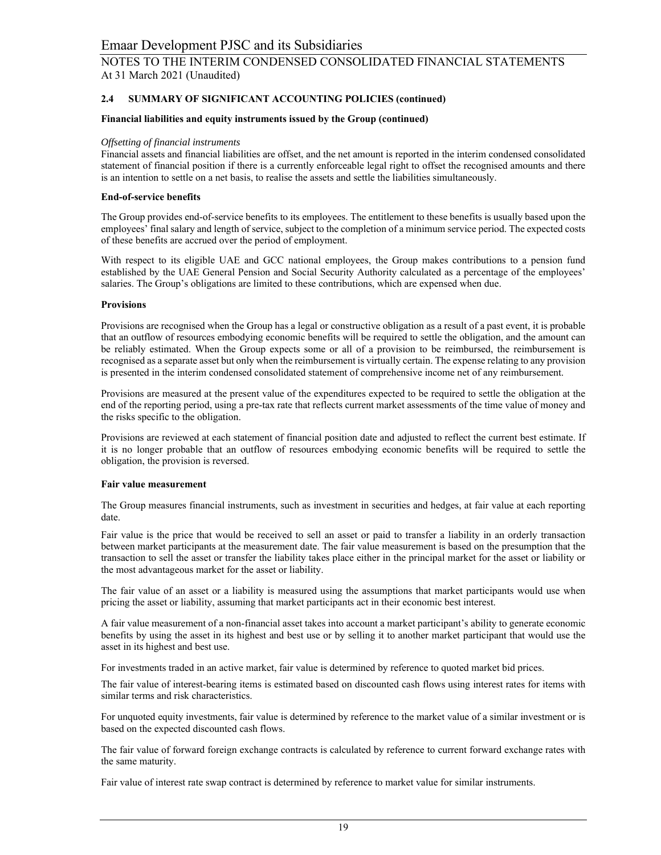# **2.4 SUMMARY OF SIGNIFICANT ACCOUNTING POLICIES (continued)**

#### **Financial liabilities and equity instruments issued by the Group (continued)**

#### *Offsetting of financial instruments*

Financial assets and financial liabilities are offset, and the net amount is reported in the interim condensed consolidated statement of financial position if there is a currently enforceable legal right to offset the recognised amounts and there is an intention to settle on a net basis, to realise the assets and settle the liabilities simultaneously.

#### **End-of-service benefits**

The Group provides end-of-service benefits to its employees. The entitlement to these benefits is usually based upon the employees' final salary and length of service, subject to the completion of a minimum service period. The expected costs of these benefits are accrued over the period of employment.

With respect to its eligible UAE and GCC national employees, the Group makes contributions to a pension fund established by the UAE General Pension and Social Security Authority calculated as a percentage of the employees' salaries. The Group's obligations are limited to these contributions, which are expensed when due.

#### **Provisions**

Provisions are recognised when the Group has a legal or constructive obligation as a result of a past event, it is probable that an outflow of resources embodying economic benefits will be required to settle the obligation, and the amount can be reliably estimated. When the Group expects some or all of a provision to be reimbursed, the reimbursement is recognised as a separate asset but only when the reimbursement is virtually certain. The expense relating to any provision is presented in the interim condensed consolidated statement of comprehensive income net of any reimbursement.

Provisions are measured at the present value of the expenditures expected to be required to settle the obligation at the end of the reporting period, using a pre-tax rate that reflects current market assessments of the time value of money and the risks specific to the obligation.

Provisions are reviewed at each statement of financial position date and adjusted to reflect the current best estimate. If it is no longer probable that an outflow of resources embodying economic benefits will be required to settle the obligation, the provision is reversed.

## **Fair value measurement**

The Group measures financial instruments, such as investment in securities and hedges, at fair value at each reporting date.

Fair value is the price that would be received to sell an asset or paid to transfer a liability in an orderly transaction between market participants at the measurement date. The fair value measurement is based on the presumption that the transaction to sell the asset or transfer the liability takes place either in the principal market for the asset or liability or the most advantageous market for the asset or liability.

The fair value of an asset or a liability is measured using the assumptions that market participants would use when pricing the asset or liability, assuming that market participants act in their economic best interest.

A fair value measurement of a non-financial asset takes into account a market participant's ability to generate economic benefits by using the asset in its highest and best use or by selling it to another market participant that would use the asset in its highest and best use.

For investments traded in an active market, fair value is determined by reference to quoted market bid prices.

The fair value of interest-bearing items is estimated based on discounted cash flows using interest rates for items with similar terms and risk characteristics.

For unquoted equity investments, fair value is determined by reference to the market value of a similar investment or is based on the expected discounted cash flows.

The fair value of forward foreign exchange contracts is calculated by reference to current forward exchange rates with the same maturity.

Fair value of interest rate swap contract is determined by reference to market value for similar instruments.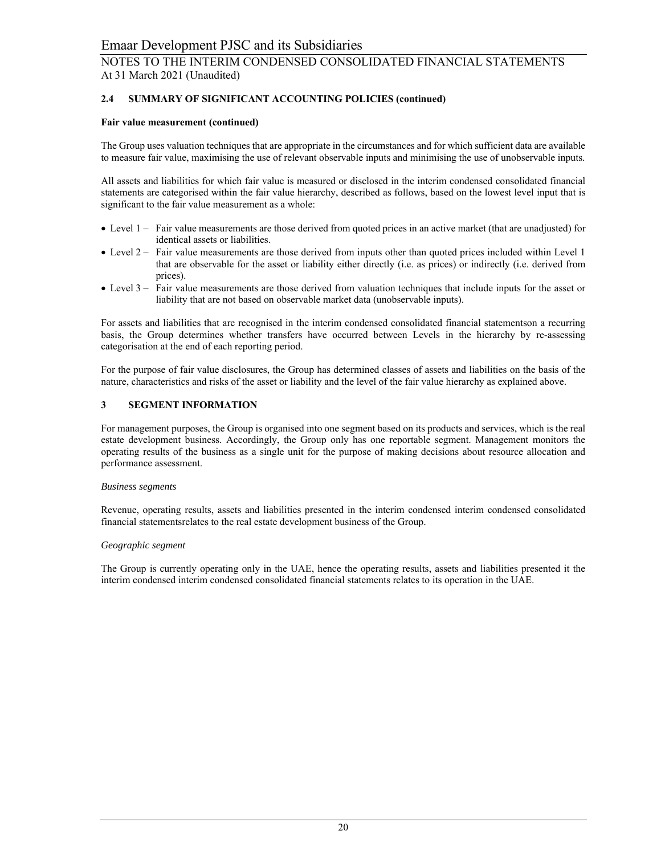# **2.4 SUMMARY OF SIGNIFICANT ACCOUNTING POLICIES (continued)**

#### **Fair value measurement (continued)**

The Group uses valuation techniques that are appropriate in the circumstances and for which sufficient data are available to measure fair value, maximising the use of relevant observable inputs and minimising the use of unobservable inputs.

All assets and liabilities for which fair value is measured or disclosed in the interim condensed consolidated financial statements are categorised within the fair value hierarchy, described as follows, based on the lowest level input that is significant to the fair value measurement as a whole:

- Level 1 Fair value measurements are those derived from quoted prices in an active market (that are unadjusted) for identical assets or liabilities.
- Level 2 Fair value measurements are those derived from inputs other than quoted prices included within Level 1 that are observable for the asset or liability either directly (i.e. as prices) or indirectly (i.e. derived from prices).
- Level 3 Fair value measurements are those derived from valuation techniques that include inputs for the asset or liability that are not based on observable market data (unobservable inputs).

For assets and liabilities that are recognised in the interim condensed consolidated financial statementson a recurring basis, the Group determines whether transfers have occurred between Levels in the hierarchy by re-assessing categorisation at the end of each reporting period.

For the purpose of fair value disclosures, the Group has determined classes of assets and liabilities on the basis of the nature, characteristics and risks of the asset or liability and the level of the fair value hierarchy as explained above.

## **3 SEGMENT INFORMATION**

For management purposes, the Group is organised into one segment based on its products and services, which is the real estate development business. Accordingly, the Group only has one reportable segment. Management monitors the operating results of the business as a single unit for the purpose of making decisions about resource allocation and performance assessment.

#### *Business segments*

Revenue, operating results, assets and liabilities presented in the interim condensed interim condensed consolidated financial statementsrelates to the real estate development business of the Group.

#### *Geographic segment*

The Group is currently operating only in the UAE, hence the operating results, assets and liabilities presented it the interim condensed interim condensed consolidated financial statements relates to its operation in the UAE.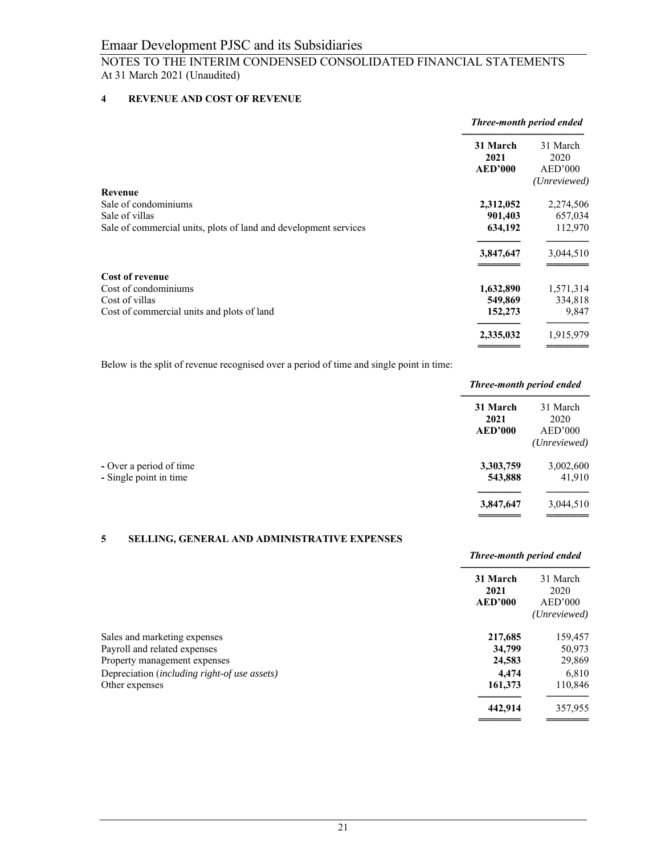# NOTES TO THE INTERIM CONDENSED CONSOLIDATED FINANCIAL STATEMENTS At 31 March 2021 (Unaudited)

# **4 REVENUE AND COST OF REVENUE**

|                                                                                                                              | Three-month period ended                     |                                              |
|------------------------------------------------------------------------------------------------------------------------------|----------------------------------------------|----------------------------------------------|
|                                                                                                                              | 31 March<br>2021<br><b>AED'000</b>           | 31 March<br>2020<br>AED'000<br>(Unreviewed)  |
| <b>Revenue</b><br>Sale of condominiums<br>Sale of villas<br>Sale of commercial units, plots of land and development services | 2,312,052<br>901,403<br>634,192<br>3,847,647 | 2,274,506<br>657,034<br>112,970<br>3,044,510 |
| <b>Cost of revenue</b><br>Cost of condominiums<br>Cost of villas<br>Cost of commercial units and plots of land               | 1,632,890<br>549,869<br>152,273              | 1,571,314<br>334,818<br>9,847                |
|                                                                                                                              | 2,335,032                                    | 1,915,979                                    |

Below is the split of revenue recognised over a period of time and single point in time:

|                                            | Three-month period ended                                      |  |
|--------------------------------------------|---------------------------------------------------------------|--|
| 31 March<br>2021<br>2020<br><b>AED'000</b> |                                                               |  |
| 3,303,759<br>543,888                       | 41,910                                                        |  |
| 3,847,647                                  |                                                               |  |
|                                            | 31 March<br>AED'000<br>(Unreviewed)<br>3,002,600<br>3,044,510 |  |

## **5 SELLING, GENERAL AND ADMINISTRATIVE EXPENSES**

|                                              | Three-month period ended           |                                             |
|----------------------------------------------|------------------------------------|---------------------------------------------|
|                                              | 31 March<br>2021<br><b>AED'000</b> | 31 March<br>2020<br>AED'000<br>(Unreviewed) |
| Sales and marketing expenses                 | 217,685                            | 159,457                                     |
| Payroll and related expenses                 | 34,799                             | 50,973                                      |
| Property management expenses                 | 24,583                             | 29,869                                      |
| Depreciation (including right-of use assets) | 4.474                              | 6,810                                       |
| Other expenses                               | 161,373                            | 110,846                                     |
|                                              | 442,914                            | 357,955                                     |
|                                              |                                    |                                             |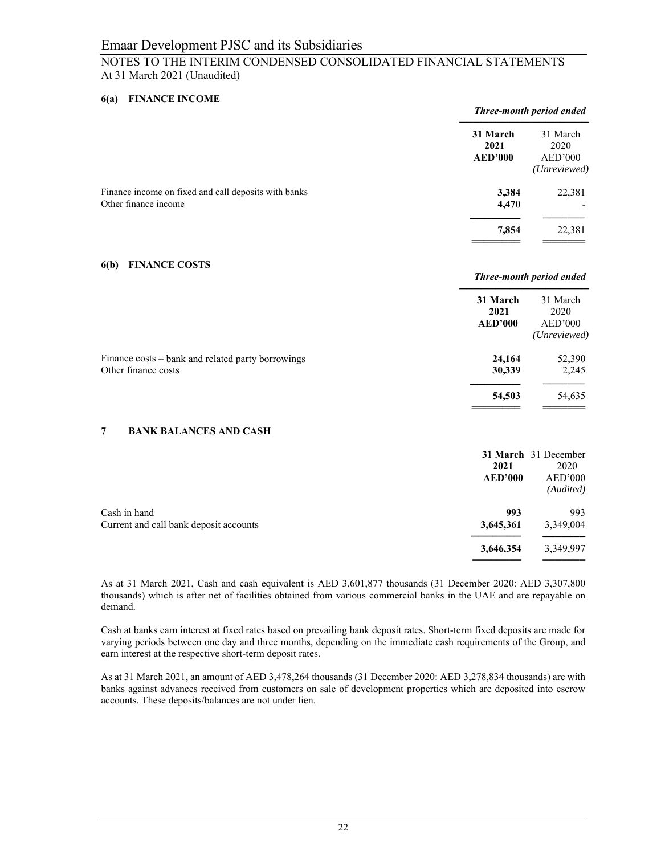# NOTES TO THE INTERIM CONDENSED CONSOLIDATED FINANCIAL STATEMENTS At 31 March 2021 (Unaudited)

## **6(a) FINANCE INCOME**

|                                                                              |                                    | Three-month period ended                    |  |
|------------------------------------------------------------------------------|------------------------------------|---------------------------------------------|--|
|                                                                              | 31 March<br>2021<br><b>AED'000</b> | 31 March<br>2020<br>AED'000<br>(Unreviewed) |  |
| Finance income on fixed and call deposits with banks<br>Other finance income | 3,384<br>4,470                     | 22,381                                      |  |
|                                                                              | 7,854                              | 22,381                                      |  |

## **6(b) FINANCE COSTS**

|                                                                          |                                    | Three-month period ended                    |  |
|--------------------------------------------------------------------------|------------------------------------|---------------------------------------------|--|
|                                                                          | 31 March<br>2021<br><b>AED'000</b> | 31 March<br>2020<br>AED'000<br>(Unreviewed) |  |
| Finance costs – bank and related party borrowings<br>Other finance costs | 24,164<br>30,339                   | 52,390<br>2,245                             |  |
|                                                                          | 54,503                             | 54.635                                      |  |

═══════════════════════════════════

## **7 BANK BALANCES AND CASH**

|                                                        | 2021<br><b>AED'000</b> | 31 March 31 December<br>2020<br>AED'000<br>(Audited) |
|--------------------------------------------------------|------------------------|------------------------------------------------------|
| Cash in hand<br>Current and call bank deposit accounts | 993<br>3,645,361       | 993<br>3,349,004                                     |
|                                                        | 3,646,354              | 3,349,997                                            |

As at 31 March 2021, Cash and cash equivalent is AED 3,601,877 thousands (31 December 2020: AED 3,307,800 thousands) which is after net of facilities obtained from various commercial banks in the UAE and are repayable on demand.

Cash at banks earn interest at fixed rates based on prevailing bank deposit rates. Short-term fixed deposits are made for varying periods between one day and three months, depending on the immediate cash requirements of the Group, and earn interest at the respective short-term deposit rates.

As at 31 March 2021, an amount of AED 3,478,264 thousands (31 December 2020: AED 3,278,834 thousands) are with banks against advances received from customers on sale of development properties which are deposited into escrow accounts. These deposits/balances are not under lien.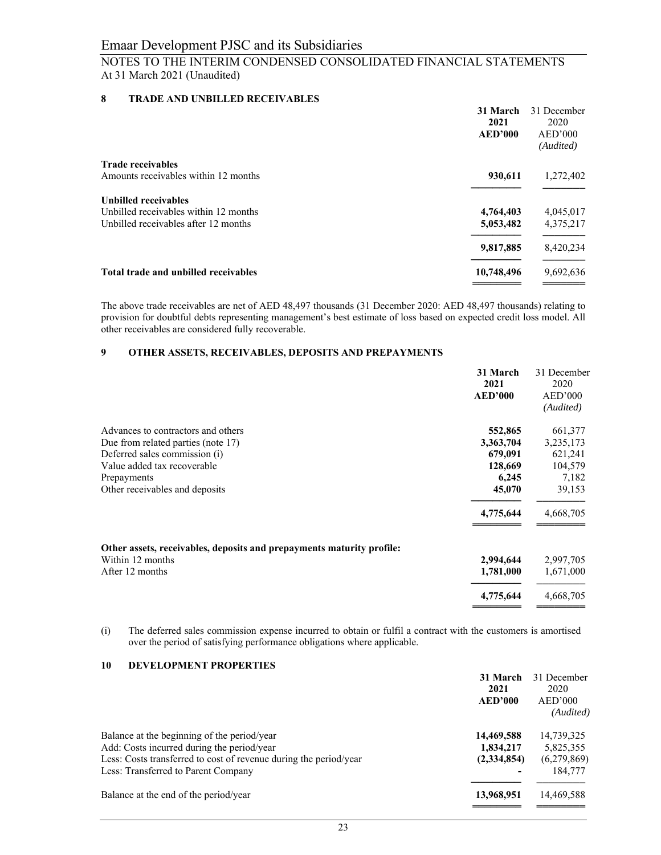# **8 TRADE AND UNBILLED RECEIVABLES**

|                                       | 31 March<br>2021 | 31 December<br>2020  |
|---------------------------------------|------------------|----------------------|
|                                       | AED'000          | AED'000<br>(Audited) |
| <b>Trade receivables</b>              |                  |                      |
| Amounts receivables within 12 months  | 930,611          | 1,272,402            |
| <b>Unbilled receivables</b>           |                  |                      |
| Unbilled receivables within 12 months | 4,764,403        | 4,045,017            |
| Unbilled receivables after 12 months  | 5,053,482        | 4,375,217            |
|                                       | 9,817,885        | 8,420,234            |
| Total trade and unbilled receivables  | 10,748,496       | 9,692,636            |
|                                       |                  |                      |

The above trade receivables are net of AED 48,497 thousands (31 December 2020: AED 48,497 thousands) relating to provision for doubtful debts representing management's best estimate of loss based on expected credit loss model. All other receivables are considered fully recoverable.

# **9 OTHER ASSETS, RECEIVABLES, DEPOSITS AND PREPAYMENTS**

|                                                                       | 31 March<br>2021<br><b>AED'000</b> | 31 December<br>2020<br>AED'000 |
|-----------------------------------------------------------------------|------------------------------------|--------------------------------|
|                                                                       |                                    | (Audited)                      |
| Advances to contractors and others                                    | 552,865                            | 661,377                        |
| Due from related parties (note 17)                                    | 3,363,704                          | 3,235,173                      |
| Deferred sales commission (i)                                         | 679,091                            | 621,241                        |
| Value added tax recoverable                                           | 128,669                            | 104,579                        |
| Prepayments                                                           | 6,245                              | 7,182                          |
| Other receivables and deposits                                        | 45,070                             | 39,153                         |
|                                                                       | 4,775,644                          | 4,668,705                      |
| Other assets, receivables, deposits and prepayments maturity profile: |                                    |                                |
| Within 12 months                                                      | 2,994,644                          | 2,997,705                      |
| After 12 months                                                       | 1,781,000                          | 1,671,000                      |
|                                                                       | 4,775,644                          | 4,668,705                      |
|                                                                       |                                    |                                |

(i) The deferred sales commission expense incurred to obtain or fulfil a contract with the customers is amortised over the period of satisfying performance obligations where applicable.

# **10 DEVELOPMENT PROPERTIES**

|                                                                   | 31 March       | 31 December |
|-------------------------------------------------------------------|----------------|-------------|
|                                                                   | 2021           | 2020        |
|                                                                   | <b>AED'000</b> | AED'000     |
|                                                                   |                | (Audited)   |
| Balance at the beginning of the period/year                       | 14,469,588     | 14,739,325  |
| Add: Costs incurred during the period/year                        | 1,834,217      | 5,825,355   |
| Less: Costs transferred to cost of revenue during the period/year | (2,334,854)    | (6,279,869) |
| Less: Transferred to Parent Company                               |                | 184,777     |
| Balance at the end of the period/year                             | 13,968,951     | 14,469,588  |
|                                                                   |                |             |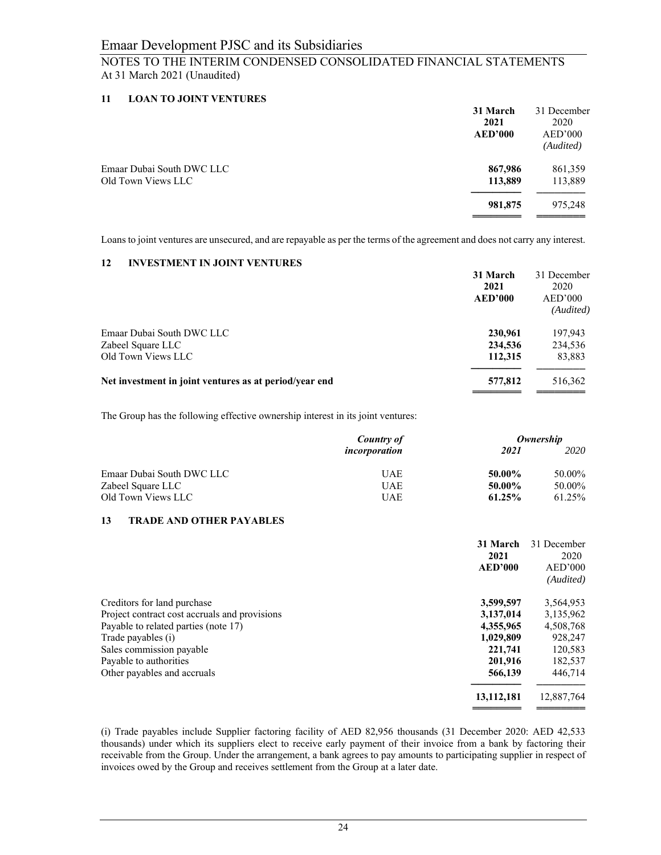# **11 LOAN TO JOINT VENTURES**

|                           | 31 March<br>2021<br><b>AED'000</b> | 31 December<br>2020<br>AED'000<br>(Audited) |
|---------------------------|------------------------------------|---------------------------------------------|
| Emaar Dubai South DWC LLC | 867,986                            | 861,359                                     |
| Old Town Views LLC        | 113,889                            | 113,889                                     |
|                           | 981,875                            | 975,248                                     |

Loans to joint ventures are unsecured, and are repayable as per the terms of the agreement and does not carry any interest.

## **12 INVESTMENT IN JOINT VENTURES**

|                                                        | 31 March<br>2021<br><b>AED'000</b> | 31 December<br>2020<br>AED'000<br>(Audited) |
|--------------------------------------------------------|------------------------------------|---------------------------------------------|
| Emaar Dubai South DWC LLC                              | 230,961                            | 197,943                                     |
| Zabeel Square LLC                                      | 234,536                            | 234,536                                     |
| Old Town Views LLC                                     | 112,315                            | 83,883                                      |
| Net investment in joint ventures as at period/year end | 577,812                            | 516,362                                     |

The Group has the following effective ownership interest in its joint ventures:

|                           | <b>Country of</b> | Ownership |        |
|---------------------------|-------------------|-----------|--------|
|                           | incorporation     | 2021      | 2020   |
| Emaar Dubai South DWC LLC | <b>UAE</b>        | 50.00%    | 50.00% |
| Zabeel Square LLC         | <b>UAE</b>        | 50.00%    | 50.00% |
| Old Town Views LLC        | UAE               | 61.25%    | 61.25% |

## **13 TRADE AND OTHER PAYABLES**

| 31 March<br>2021<br><b>AED'000</b>                         | 31 December<br>2020<br>AED'000<br>(Audited) |
|------------------------------------------------------------|---------------------------------------------|
| Creditors for land purchase<br>3,599,597                   | 3,564,953                                   |
| Project contract cost accruals and provisions<br>3,137,014 | 3,135,962                                   |
| Payable to related parties (note 17)<br>4,355,965          | 4,508,768                                   |
| Trade payables (i)<br>1,029,809                            | 928,247                                     |
| Sales commission payable<br>221,741                        | 120,583                                     |
| Payable to authorities<br>201.916                          | 182,537                                     |
| Other payables and accruals<br>566,139                     | 446,714                                     |
| 13, 112, 181                                               | 12,887,764                                  |

(i) Trade payables include Supplier factoring facility of AED 82,956 thousands (31 December 2020: AED 42,533 thousands) under which its suppliers elect to receive early payment of their invoice from a bank by factoring their receivable from the Group. Under the arrangement, a bank agrees to pay amounts to participating supplier in respect of invoices owed by the Group and receives settlement from the Group at a later date.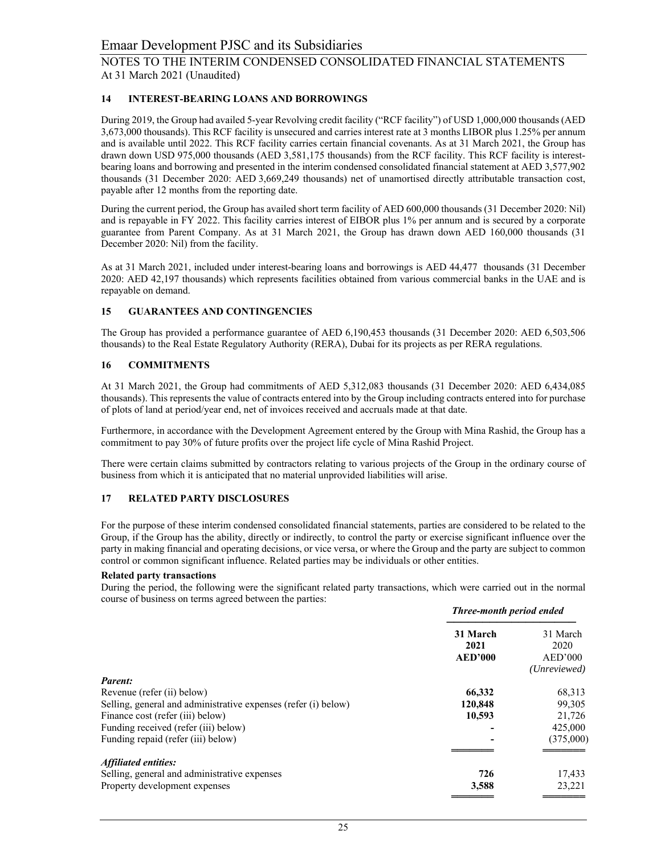# **14 INTEREST-BEARING LOANS AND BORROWINGS**

During 2019, the Group had availed 5-year Revolving credit facility ("RCF facility") of USD 1,000,000 thousands (AED 3,673,000 thousands). This RCF facility is unsecured and carries interest rate at 3 months LIBOR plus 1.25% per annum and is available until 2022. This RCF facility carries certain financial covenants. As at 31 March 2021, the Group has drawn down USD 975,000 thousands (AED 3,581,175 thousands) from the RCF facility. This RCF facility is interestbearing loans and borrowing and presented in the interim condensed consolidated financial statement at AED 3,577,902 thousands (31 December 2020: AED 3,669,249 thousands) net of unamortised directly attributable transaction cost, payable after 12 months from the reporting date.

During the current period, the Group has availed short term facility of AED 600,000 thousands (31 December 2020: Nil) and is repayable in FY 2022. This facility carries interest of EIBOR plus 1% per annum and is secured by a corporate guarantee from Parent Company. As at 31 March 2021, the Group has drawn down AED 160,000 thousands (31 December 2020: Nil) from the facility.

As at 31 March 2021, included under interest-bearing loans and borrowings is AED 44,477 thousands (31 December 2020: AED 42,197 thousands) which represents facilities obtained from various commercial banks in the UAE and is repayable on demand.

# **15 GUARANTEES AND CONTINGENCIES**

The Group has provided a performance guarantee of AED 6,190,453 thousands (31 December 2020: AED 6,503,506 thousands) to the Real Estate Regulatory Authority (RERA), Dubai for its projects as per RERA regulations.

# **16 COMMITMENTS**

At 31 March 2021, the Group had commitments of AED 5,312,083 thousands (31 December 2020: AED 6,434,085 thousands). This represents the value of contracts entered into by the Group including contracts entered into for purchase of plots of land at period/year end, net of invoices received and accruals made at that date.

Furthermore, in accordance with the Development Agreement entered by the Group with Mina Rashid, the Group has a commitment to pay 30% of future profits over the project life cycle of Mina Rashid Project.

There were certain claims submitted by contractors relating to various projects of the Group in the ordinary course of business from which it is anticipated that no material unprovided liabilities will arise.

# **17 RELATED PARTY DISCLOSURES**

For the purpose of these interim condensed consolidated financial statements, parties are considered to be related to the Group, if the Group has the ability, directly or indirectly, to control the party or exercise significant influence over the party in making financial and operating decisions, or vice versa, or where the Group and the party are subject to common control or common significant influence. Related parties may be individuals or other entities.

## **Related party transactions**

During the period, the following were the significant related party transactions, which were carried out in the normal course of business on terms agreed between the parties:

|                                                                | Three-month period ended           |                                             |
|----------------------------------------------------------------|------------------------------------|---------------------------------------------|
|                                                                | 31 March<br>2021<br><b>AED'000</b> | 31 March<br>2020<br>AED'000<br>(Unreviewed) |
| Parent:                                                        |                                    |                                             |
| Revenue (refer (ii) below)                                     | 66,332                             | 68,313                                      |
| Selling, general and administrative expenses (refer (i) below) | 120,848                            | 99,305                                      |
| Finance cost (refer (iii) below)                               | 10,593                             | 21,726                                      |
| Funding received (refer (iii) below)                           |                                    | 425,000                                     |
| Funding repaid (refer (iii) below)                             |                                    | (375,000)                                   |
| Affiliated entities:                                           |                                    |                                             |
| Selling, general and administrative expenses                   | 726                                | 17,433                                      |
| Property development expenses                                  | 3,588                              | 23,221                                      |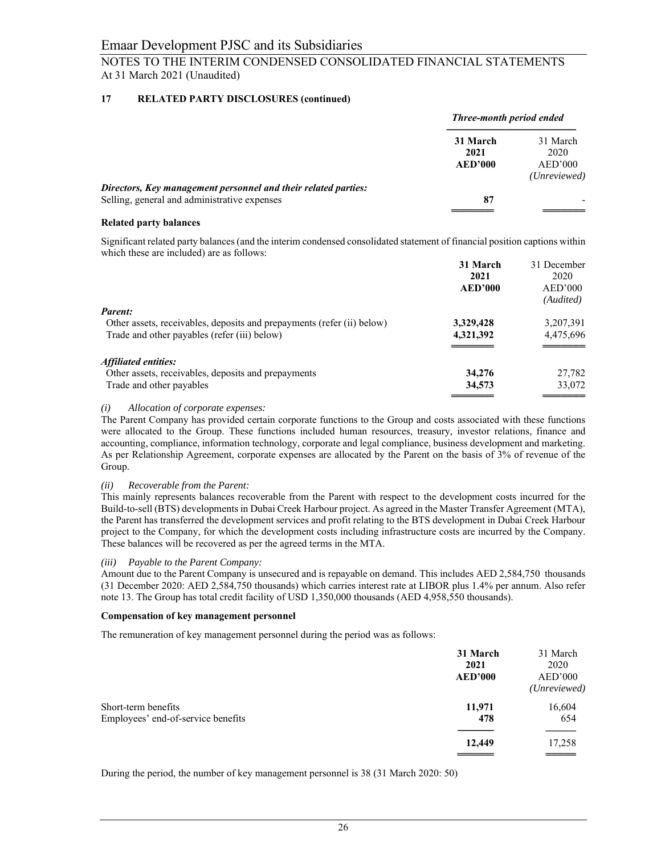# **17 RELATED PARTY DISCLOSURES (continued)**

|                                                                | Three-month period ended |                         |
|----------------------------------------------------------------|--------------------------|-------------------------|
|                                                                | 31 March<br>2021         | 31 March<br>2020        |
|                                                                | <b>AED'000</b>           | AED'000<br>(Unreviewed) |
| Directors, Key management personnel and their related parties: |                          |                         |
| Selling, general and administrative expenses                   | 87                       |                         |
|                                                                |                          |                         |

## **Related party balances**

Significant related party balances (and the interim condensed consolidated statement of financial position captions within which these are included) are as follows:

|                                                                        | 31 March       | 31 December |
|------------------------------------------------------------------------|----------------|-------------|
|                                                                        | 2021           | 2020        |
|                                                                        | <b>AED'000</b> | AED'000     |
|                                                                        |                | (Audited)   |
| <b>Parent:</b>                                                         |                |             |
| Other assets, receivables, deposits and prepayments (refer (ii) below) | 3,329,428      | 3,207,391   |
| Trade and other payables (refer (iii) below)                           | 4,321,392      | 4,475,696   |
|                                                                        |                |             |
| Affiliated entities:                                                   |                |             |
| Other assets, receivables, deposits and prepayments                    | 34,276         | 27,782      |
| Trade and other payables                                               | 34,573         | 33,072      |
|                                                                        |                |             |

## *(i) Allocation of corporate expenses:*

The Parent Company has provided certain corporate functions to the Group and costs associated with these functions were allocated to the Group. These functions included human resources, treasury, investor relations, finance and accounting, compliance, information technology, corporate and legal compliance, business development and marketing. As per Relationship Agreement, corporate expenses are allocated by the Parent on the basis of 3% of revenue of the Group.

## *(ii) Recoverable from the Parent:*

This mainly represents balances recoverable from the Parent with respect to the development costs incurred for the Build-to-sell (BTS) developments in Dubai Creek Harbour project. As agreed in the Master Transfer Agreement (MTA), the Parent has transferred the development services and profit relating to the BTS development in Dubai Creek Harbour project to the Company, for which the development costs including infrastructure costs are incurred by the Company. These balances will be recovered as per the agreed terms in the MTA.

## *(iii) Payable to the Parent Company:*

Amount due to the Parent Company is unsecured and is repayable on demand. This includes AED 2,584,750 thousands (31 December 2020: AED 2,584,750 thousands) which carries interest rate at LIBOR plus 1.4% per annum. Also refer note 13. The Group has total credit facility of USD 1,350,000 thousands (AED 4,958,550 thousands).

## **Compensation of key management personnel**

The remuneration of key management personnel during the period was as follows:

|                                                           | 31 March<br>2021<br><b>AED'000</b> | 31 March<br>2020<br>AED'000<br>(Unreviewed) |
|-----------------------------------------------------------|------------------------------------|---------------------------------------------|
| Short-term benefits<br>Employees' end-of-service benefits | 11,971<br>478                      | 16,604<br>654                               |
|                                                           | 12,449                             | 17,258<br>____                              |

During the period, the number of key management personnel is 38 (31 March 2020: 50)